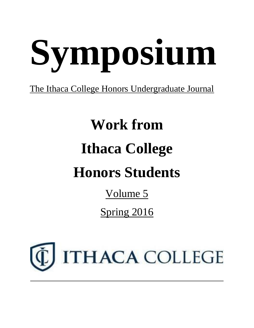# **Symposium**

## The Ithaca College Honors Undergraduate Journal

## **Work from Ithaca College Honors Students**

Volume 5

Spring 2016

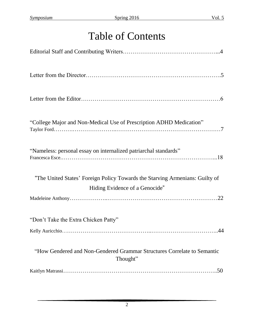## Table of Contents

| "College Major and Non-Medical Use of Prescription ADHD Medication"                 |
|-------------------------------------------------------------------------------------|
| "Nameless: personal essay on internalized patriarchal standards"                    |
| "The United States' Foreign Policy Towards the Starving Armenians: Guilty of        |
| Hiding Evidence of a Genocide"                                                      |
|                                                                                     |
| "Don't Take the Extra Chicken Patty"                                                |
|                                                                                     |
| "How Gendered and Non-Gendered Grammar Structures Correlate to Semantic<br>Thought" |
|                                                                                     |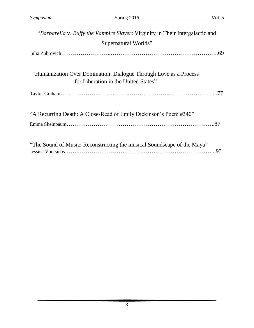| "Barbarella v. Buffy the Vampire Slayer: Virginity in Their Intergalactic and                             |
|-----------------------------------------------------------------------------------------------------------|
| Supernatural Worlds"                                                                                      |
|                                                                                                           |
| "Humanization Over Domination: Dialogue Through Love as a Process<br>for Liberation in the United States" |
|                                                                                                           |
| "A Recurring Death: A Close-Read of Emily Dickinson's Poem #340"                                          |
| "The Sound of Music: Reconstructing the musical Soundscape of the Maya"<br>.95                            |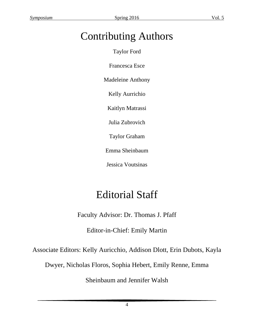## Contributing Authors

Taylor Ford

Francesca Esce

Madeleine Anthony

Kelly Aurrichio

Kaitlyn Matrassi

Julia Zubrovich

Taylor Graham

Emma Sheinbaum

Jessica Voutsinas

## Editorial Staff

Faculty Advisor: Dr. Thomas J. Pfaff

Editor-in-Chief: Emily Martin

Associate Editors: Kelly Auricchio, Addison Dlott, Erin Dubots, Kayla

Dwyer, Nicholas Floros, Sophia Hebert, Emily Renne, Emma

Sheinbaum and Jennifer Walsh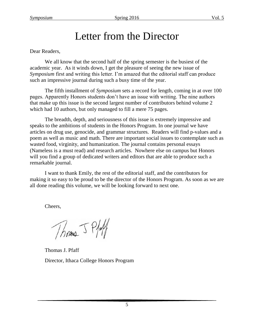## Letter from the Director

#### Dear Readers,

We all know that the second half of the spring semester is the busiest of the academic year. As it winds down, I get the pleasure of seeing the new issue of *Symposium* first and writing this letter. I'm amazed that the editorial staff can produce such an impressive journal during such a busy time of the year.

The fifth installment of *Symposium* sets a record for length, coming in at over 100 pages. Apparently Honors students don't have an issue with writing. The nine authors that make up this issue is the second largest number of contributors behind volume 2 which had 10 authors, but only managed to fill a mere 75 pages.

The breadth, depth, and seriousness of this issue is extremely impressive and speaks to the ambitions of students in the Honors Program. In one journal we have articles on drug use, genocide, and grammar structures. Readers will find p-values and a poem as well as music and math. There are important social issues to contemplate such as wasted food, virginity, and humanization. The journal contains personal essays (Nameless is a must read) and research articles. Nowhere else on campus but Honors will you find a group of dedicated writers and editors that are able to produce such a remarkable journal.

I want to thank Emily, the rest of the editorial staff, and the contributors for making it so easy to be proud to be the director of the Honors Program. As soon as we are all done reading this volume, we will be looking forward to next one.

Cheers,

Thomas 5 Plat

Thomas J. Pfaff Director, Ithaca College Honors Program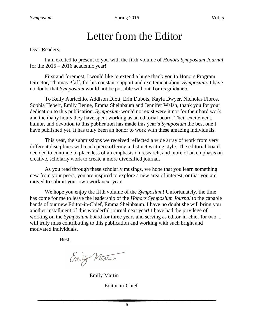## Letter from the Editor

Dear Readers,

I am excited to present to you with the fifth volume of *Honors Symposium Journal* for the  $2015 - 2016$  academic year!

First and foremost, I would like to extend a huge thank you to Honors Program Director, Thomas Pfaff, for his constant support and excitement about *Symposium*. I have no doubt that *Symposium* would not be possible without Tom's guidance.

To Kelly Auricchio, Addison Dlott, Erin Dubots, Kayla Dwyer, Nicholas Floros, Sophia Hebert, Emily Renne, Emma Sheinbaum and Jennifer Walsh, thank you for your dedication to this publication. *Symposium* would not exist were it not for their hard work and the many hours they have spent working as an editorial board. Their excitement, humor, and devotion to this publication has made this year's *Symposium* the best one I have published yet. It has truly been an honor to work with these amazing individuals.

This year, the submissions we received reflected a wide array of work from very different disciplines with each piece offering a distinct writing style. The editorial board decided to continue to place less of an emphasis on research, and more of an emphasis on creative, scholarly work to create a more diversified journal.

As you read through these scholarly musings, we hope that you learn something new from your peers, you are inspired to explore a new area of interest, or that you are moved to submit your own work next year.

We hope you enjoy the fifth volume of the *Symposium*! Unfortunately, the time has come for me to leave the leadership of the *Honors Symposium Journal* to the capable hands of our new Editor-in-Chief, Emma Sheinbaum. I have no doubt she will bring you another installment of this wonderful journal next year! I have had the privilege of working on the *Symposium* board for three years and serving as editor-in-chief for two. I will truly miss contributing to this publication and working with such bright and motivated individuals.

Best,

Emily Manin

Emily Martin

Editor-in-Chief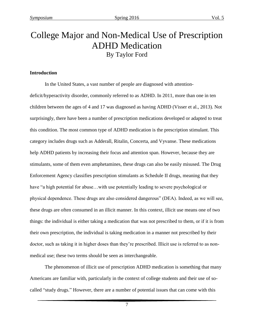## College Major and Non-Medical Use of Prescription ADHD Medication By Taylor Ford

#### **Introduction**

In the United States, a vast number of people are diagnosed with attentiondeficit/hyperactivity disorder, commonly referred to as ADHD. In 2011, more than one in ten children between the ages of 4 and 17 was diagnosed as having ADHD (Visser et al., 2013). Not surprisingly, there have been a number of prescription medications developed or adapted to treat this condition. The most common type of ADHD medication is the prescription stimulant. This category includes drugs such as Adderall, Ritalin, Concerta, and Vyvanse. These medications help ADHD patients by increasing their focus and attention span. However, because they are stimulants, some of them even amphetamines, these drugs can also be easily misused. The Drug Enforcement Agency classifies prescription stimulants as Schedule II drugs, meaning that they have "a high potential for abuse...with use potentially leading to severe psychological or physical dependence. These drugs are also considered dangerous" (DEA). Indeed, as we will see, these drugs are often consumed in an illicit manner. In this context, illicit use means one of two things: the individual is either taking a medication that was not prescribed to them, or if it is from their own prescription, the individual is taking medication in a manner not prescribed by their doctor, such as taking it in higher doses than they're prescribed. Illicit use is referred to as nonmedical use; these two terms should be seen as interchangeable.

The phenomenon of illicit use of prescription ADHD medication is something that many Americans are familiar with, particularly in the context of college students and their use of socalled "study drugs." However, there are a number of potential issues that can come with this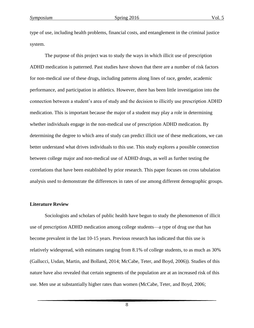type of use, including health problems, financial costs, and entanglement in the criminal justice system.

The purpose of this project was to study the ways in which illicit use of prescription ADHD medication is patterned. Past studies have shown that there are a number of risk factors for non-medical use of these drugs, including patterns along lines of race, gender, academic performance, and participation in athletics. However, there has been little investigation into the connection between a student's area of study and the decision to illicitly use prescription ADHD medication. This is important because the major of a student may play a role in determining whether individuals engage in the non-medical use of prescription ADHD medication. By determining the degree to which area of study can predict illicit use of these medications, we can better understand what drives individuals to this use. This study explores a possible connection between college major and non-medical use of ADHD drugs, as well as further testing the correlations that have been established by prior research. This paper focuses on cross tabulation analysis used to demonstrate the differences in rates of use among different demographic groups.

#### **Literature Review**

Sociologists and scholars of public health have begun to study the phenomenon of illicit use of prescription ADHD medication among college students—a type of drug use that has become prevalent in the last 10-15 years. Previous research has indicated that this use is relatively widespread, with estimates ranging from 8.1% of college students, to as much as 30% (Gallucci, Usdan, Martin, and Bolland, 2014; McCabe, Teter, and Boyd, 2006)). Studies of this nature have also revealed that certain segments of the population are at an increased risk of this use. Men use at substantially higher rates than women (McCabe, Teter, and Boyd, 2006;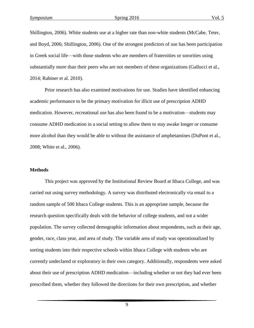Shillington, 2006). White students use at a higher rate than non-white students (McCabe, Teter, and Boyd, 2006; Shillington, 2006). One of the strongest predictors of use has been participation in Greek social life—with those students who are members of fraternities or sororities using substantially more than their peers who are not members of these organizations (Gallucci et al., 2014; Rabiner et al. 2010).

Prior research has also examined motivations for use. Studies have identified enhancing academic performance to be the primary motivation for illicit use of prescription ADHD medication. However, recreational use has also been found to be a motivation—students may consume ADHD medication in a social setting to allow them to stay awake longer or consume more alcohol than they would be able to without the assistance of amphetamines (DuPont et al., 2008; White et al., 2006).

#### **Methods**

This project was approved by the Institutional Review Board at Ithaca College, and was carried out using survey methodology. A survey was distributed electronically via email to a random sample of 500 Ithaca College students. This is an appropriate sample, because the research question specifically deals with the behavior of college students, and not a wider population. The survey collected demographic information about respondents, such as their age, gender, race, class year, and area of study. The variable area of study was operationalized by sorting students into their respective schools within Ithaca College with students who are currently undeclared or exploratory in their own category. Additionally, respondents were asked about their use of prescription ADHD medication—including whether or not they had ever been prescribed them, whether they followed the directions for their own prescription, and whether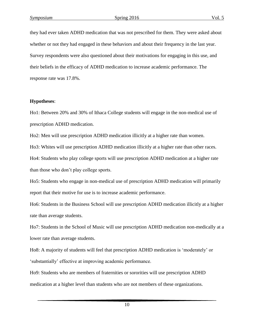they had ever taken ADHD medication that was not prescribed for them. They were asked about whether or not they had engaged in these behaviors and about their frequency in the last year. Survey respondents were also questioned about their motivations for engaging in this use, and their beliefs in the efficacy of ADHD medication to increase academic performance. The response rate was 17.8%.

#### **Hypotheses**:

Ho1: Between 20% and 30% of Ithaca College students will engage in the non-medical use of prescription ADHD medication.

Ho2: Men will use prescription ADHD medication illicitly at a higher rate than women.

Ho3: Whites will use prescription ADHD medication illicitly at a higher rate than other races.

Ho4: Students who play college sports will use prescription ADHD medication at a higher rate than those who don't play college sports.

Ho5: Students who engage in non-medical use of prescription ADHD medication will primarily report that their motive for use is to increase academic performance.

Ho6: Students in the Business School will use prescription ADHD medication illicitly at a higher rate than average students.

Ho7: Students in the School of Music will use prescription ADHD medication non-medically at a lower rate than average students.

Ho8: A majority of students will feel that prescription ADHD medication is 'moderately' or 'substantially' effective at improving academic performance.

Ho9: Students who are members of fraternities or sororities will use prescription ADHD medication at a higher level than students who are not members of these organizations.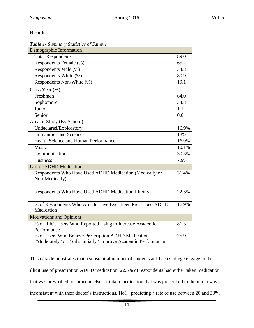#### **Results**:

| Table 1- Summary Statistics of Sample |  |  |
|---------------------------------------|--|--|
|                                       |  |  |

| Demographic Information                                                                                              |       |
|----------------------------------------------------------------------------------------------------------------------|-------|
| <b>Total Respondents</b>                                                                                             | 89.0  |
| Respondents Female (%)                                                                                               | 65.2  |
| Respondents Male (%)                                                                                                 | 34.8  |
| Respondents White (%)                                                                                                | 80.9  |
| Respondents Non-White (%)                                                                                            | 19.1  |
| Class Year (%)                                                                                                       |       |
| Freshmen                                                                                                             | 64.0  |
| Sophomore                                                                                                            | 34.8  |
| Junior                                                                                                               | 1.1   |
| Senior                                                                                                               | 0.0   |
| Area of Study (By School)                                                                                            |       |
| Undeclared/Exploratory                                                                                               | 16.9% |
| <b>Humanities and Sciences</b>                                                                                       | 18%   |
| Health Science and Human Performance                                                                                 | 16.9% |
| Music                                                                                                                | 10.1% |
| Communications                                                                                                       | 30.3% |
| <b>Business</b>                                                                                                      | 7.9%  |
| <b>Use of ADHD Medication</b>                                                                                        |       |
| Respondents Who Have Used ADHD Medication (Medically or<br>Non-Medically)                                            | 31.4% |
| Respondents Who Have Used ADHD Medication Illicitly                                                                  | 22.5% |
| % of Respondents Who Are Or Have Ever Been Prescribed ADHD<br>Medication                                             | 16.9% |
| <b>Motivations and Opinions</b>                                                                                      |       |
| % of Illicit Users Who Reported Using to Increase Academic<br>Performance                                            | 81.3  |
| % of Users Who Believe Prescription ADHD Medications<br>"Moderately" or "Substantially" Improve Academic Performance | 75.9  |

This data demonstrates that a substantial number of students at Ithaca College engage in the illicit use of prescription ADHD medication. 22.5% of respondents had either taken medication that was prescribed to someone else, or taken medication that was prescribed to them in a way inconsistent with their doctor's instructions. Ho1 , predicting a rate of use between 20 and 30%,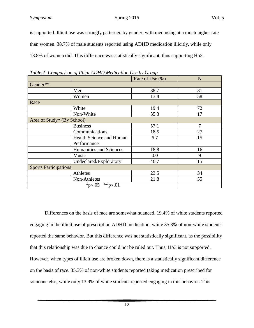is supported. Illicit use was strongly patterned by gender, with men using at a much higher rate than women. 38.7% of male students reported using ADHD medication illicitly, while only 13.8% of women did. This difference was statistically significant, thus supporting Ho2.

|                              |                          | Rate of Use $(\% )$ | N              |
|------------------------------|--------------------------|---------------------|----------------|
| Gender**                     |                          |                     |                |
|                              | Men                      | 38.7                | 31             |
|                              | Women                    | 13.8                | 58             |
| Race                         |                          |                     |                |
|                              | White                    | 19.4                | 72             |
|                              | Non-White                | 35.3                | 17             |
| Area of Study* (By School)   |                          |                     |                |
|                              | <b>Business</b>          | 57.1                | $\overline{7}$ |
|                              | Communications           | 18.5                | 27             |
|                              | Health Science and Human | 6.7                 | 15             |
|                              | Performance              |                     |                |
|                              | Humanities and Sciences  | 18.8                | 16             |
|                              | Music                    | 0.0                 | 9              |
|                              | Undeclared/Exploratory   | 46.7                | 15             |
| <b>Sports Participations</b> |                          |                     |                |
|                              | Athletes                 | 23.5                | 34             |
|                              | Non-Athletes             | 21.8                | 55             |
|                              | **p<.01<br>*p<.05        |                     |                |

*Table 2- Comparison of Illicit ADHD Medication Use by Group*

Differences on the basis of race are somewhat nuanced. 19.4% of white students reported engaging in the illicit use of prescription ADHD medication, while 35.3% of non-white students reported the same behavior. But this difference was not statistically significant, as the possibility that this relationship was due to chance could not be ruled out. Thus, Ho3 is not supported. However, when types of illicit use are broken down, there is a statistically significant difference on the basis of race. 35.3% of non-white students reported taking medication prescribed for someone else, while only 13.9% of white students reported engaging in this behavior. This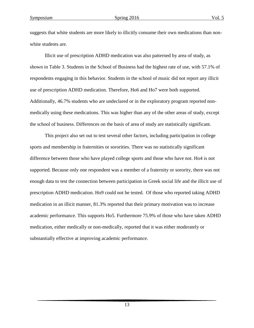suggests that white students are more likely to illicitly consume their own medications than nonwhite students are.

Illicit use of prescription ADHD medication was also patterned by area of study, as shown in Table 3. Students in the School of Business had the highest rate of use, with 57.1% of respondents engaging in this behavior. Students in the school of music did not report any illicit use of prescription ADHD medication. Therefore, Ho6 and Ho7 were both supported. Additionally, 46.7% students who are undeclared or in the exploratory program reported nonmedically using these medications. This was higher than any of the other areas of study, except the school of business. Differences on the basis of area of study are statistically significant.

This project also set out to test several other factors, including participation in college sports and membership in fraternities or sororities. There was no statistically significant difference between those who have played college sports and those who have not. Ho4 is not supported. Because only one respondent was a member of a fraternity or sorority, there was not enough data to test the connection between participation in Greek social life and the illicit use of prescription ADHD medication. Ho9 could not be tested. Of those who reported taking ADHD medication in an illicit manner, 81.3% reported that their primary motivation was to increase academic performance. This supports Ho5. Furthermore 75.9% of those who have taken ADHD medication, either medically or non-medically, reported that it was either moderately or substantially effective at improving academic performance.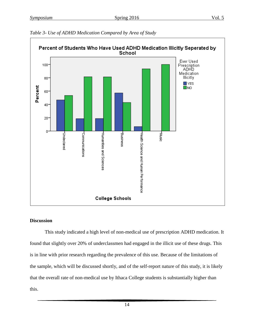

#### *Table 3- Use of ADHD Medication Compared by Area of Study*

#### **Discussion**

This study indicated a high level of non-medical use of prescription ADHD medication. It found that slightly over 20% of underclassmen had engaged in the illicit use of these drugs. This is in line with prior research regarding the prevalence of this use. Because of the limitations of the sample, which will be discussed shortly, and of the self-report nature of this study, it is likely that the overall rate of non-medical use by Ithaca College students is substantially higher than this.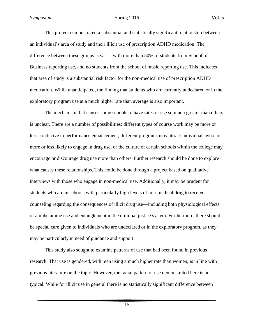This project demonstrated a substantial and statistically significant relationship between an individual's area of study and their illicit use of prescription ADHD medication. The difference between these groups is vast—with more than 50% of students from School of Business reporting use, and no students from the school of music reporting use. This indicates that area of study is a substantial risk factor for the non-medical use of prescription ADHD medication. While unanticipated, the finding that students who are currently undeclared or in the exploratory program use at a much higher rate than average is also important.

The mechanism that causes some schools to have rates of use so much greater than others is unclear. There are a number of possibilities: different types of course work may be more or less conducive to performance enhancement, different programs may attract individuals who are more or less likely to engage in drug use, or the culture of certain schools within the college may encourage or discourage drug use more than others. Further research should be done to explore what causes these relationships. This could be done through a project based on qualitative interviews with those who engage in non-medical use. Additionally, it may be prudent for students who are in schools with particularly high levels of non-medical drug to receive counseling regarding the consequences of illicit drug use—including both physiological effects of amphetamine use and entanglement in the criminal justice system. Furthermore, there should be special care given to individuals who are undeclared or in the exploratory program, as they may be particularly in need of guidance and support.

This study also sought to examine patterns of use that had been found in previous research. That use is gendered, with men using a much higher rate than women, is in line with previous literature on the topic. However, the racial pattern of use demonstrated here is not typical. While for illicit use in general there is no statistically significant difference between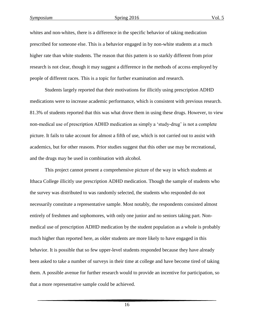whites and non-whites, there is a difference in the specific behavior of taking medication prescribed for someone else. This is a behavior engaged in by non-white students at a much higher rate than white students. The reason that this pattern is so starkly different from prior research is not clear, though it may suggest a difference in the methods of access employed by people of different races. This is a topic for further examination and research.

Students largely reported that their motivations for illicitly using prescription ADHD medications were to increase academic performance, which is consistent with previous research. 81.3% of students reported that this was what drove them in using these drugs. However, to view non-medical use of prescription ADHD medication as simply a 'study-drug' is not a complete picture. It fails to take account for almost a fifth of use, which is not carried out to assist with academics, but for other reasons. Prior studies suggest that this other use may be recreational, and the drugs may be used in combination with alcohol.

This project cannot present a comprehensive picture of the way in which students at Ithaca College illicitly use prescription ADHD medication. Though the sample of students who the survey was distributed to was randomly selected, the students who responded do not necessarily constitute a representative sample. Most notably, the respondents consisted almost entirely of freshmen and sophomores, with only one junior and no seniors taking part. Nonmedical use of prescription ADHD medication by the student population as a whole is probably much higher than reported here, as older students are more likely to have engaged in this behavior. It is possible that so few upper-level students responded because they have already been asked to take a number of surveys in their time at college and have become tired of taking them. A possible avenue for further research would to provide an incentive for participation, so that a more representative sample could be achieved.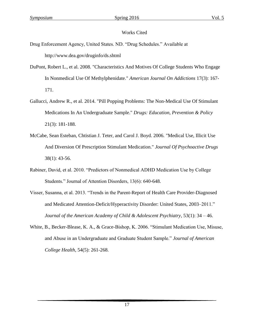#### Works Cited

- Drug Enforcement Agency, United States. ND. "Drug Schedules." Available at http://www.dea.gov/druginfo/ds.shtml
- DuPont, Robert L., et al. 2008. "Characteristics And Motives Of College Students Who Engage In Nonmedical Use Of Methylphenidate." *American Journal On Addictions* 17(3): 167- 171.
- Gallucci, Andrew R., et al. 2014. "Pill Popping Problems: The Non-Medical Use Of Stimulant Medications In An Undergraduate Sample." *Drugs: Education, Prevention & Policy* 21(3): 181-188.
- McCabe, Sean Esteban, Chtistian J. Teter, and Carol J. Boyd. 2006. "Medical Use, Illicit Use And Diversion Of Prescription Stimulant Medication." *Journal Of Psychoactive Drugs* 38(1): 43-56.
- Rabiner, David, et al. 2010. "Predictors of Nonmedical ADHD Medication Use by College Students." Journal of Attention Disorders, 13(6): 640-648.
- Visser, Susanna, et al. 2013. "Trends in the Parent-Report of Health Care Provider-Diagnosed and Medicated Attention-Deficit/Hyperactivity Disorder: United States, 2003–2011." *Journal of the American Academy of Child & Adolescent Psychiatry*, 53(1): 34 – 46.
- White, B., Becker-Blease, K. A., & Grace-Bishop, K. 2006. "Stimulant Medication Use, Misuse, and Abuse in an Undergraduate and Graduate Student Sample." *Journal of American College Health*, 54(5): 261-268.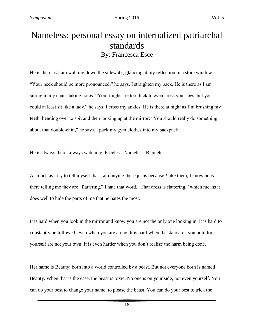## Nameless: personal essay on internalized patriarchal standards By: Francesca Esce

He is there as I am walking down the sidewalk, glancing at my reflection in a store window: "Your neck should be more pronounced," he says. I straighten my back. He is there as I am sitting in my chair, taking notes: "Your thighs are too thick to even cross your legs, but you could at least sit like a lady," he says. I cross my ankles. He is there at night as I'm brushing my teeth, bending over to spit and then looking up at the mirror: "You should really do something about that double-chin," he says. I pack my gym clothes into my backpack.

He is always there, always watching. Faceless. Nameless. Blameless.

As much as I try to tell myself that I am buying these jeans because *I* like them, I know he is there telling me they are "flattering." I hate that word. "That dress is flattering," which means it does well to hide the parts of me that he hates the most.

It is hard when you look in the mirror and know you are not the only one looking in. It is hard to constantly be followed, even when you are alone. It is hard when the standards you hold for yourself are not your own. It is even harder when you don't realize the harm being done.

Her name is Beauty; born into a world controlled by a beast. But not everyone born is named Beauty. When that is the case, the beast is toxic. No one is on your side, not even yourself. You can do your best to change your name, to please the beast. You can do your best to trick the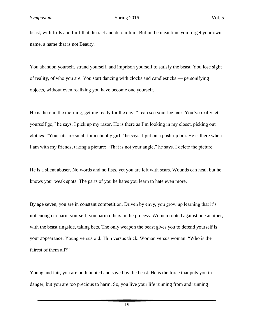beast, with frills and fluff that distract and detour him. But in the meantime you forget your own name, a name that is not Beauty.

You abandon yourself, strand yourself, and imprison yourself to satisfy the beast. You lose sight of reality, of who you are. You start dancing with clocks and candlesticks — personifying objects, without even realizing you have become one yourself.

He is there in the morning, getting ready for the day: "I can see your leg hair. You've really let yourself go," he says. I pick up my razor. He is there as I'm looking in my closet, picking out clothes: "Your tits are small for a chubby girl," he says. I put on a push-up bra. He is there when I am with my friends, taking a picture: "That is not your angle," he says. I delete the picture.

He is a silent abuser. No words and no fists, yet you are left with scars. Wounds can heal, but he knows your weak spots. The parts of you he hates you learn to hate even more.

By age seven, you are in constant competition. Driven by envy, you grow up learning that it's not enough to harm yourself; you harm others in the process. Women rooted against one another, with the beast ringside, taking bets. The only weapon the beast gives you to defend yourself is your appearance. Young versus old. Thin versus thick. Woman versus woman. "Who is the fairest of them all?"

Young and fair, you are both hunted and saved by the beast. He is the force that puts you in danger, but you are too precious to harm. So, you live your life running from and running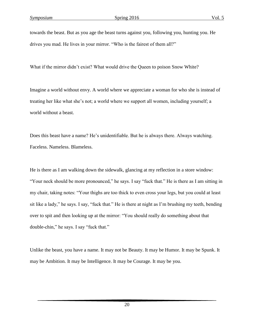towards the beast. But as you age the beast turns against you, following you, hunting you. He drives you mad. He lives in your mirror. "Who is the fairest of them all?"

What if the mirror didn't exist? What would drive the Queen to poison Snow White?

Imagine a world without envy. A world where we appreciate a woman for who she is instead of treating her like what she's not; a world where we support all women, including yourself; a world without a beast.

Does this beast have a name? He's unidentifiable. But he is always there. Always watching. Faceless. Nameless. Blameless.

He is there as I am walking down the sidewalk, glancing at my reflection in a store window: "Your neck should be more pronounced," he says. I say "fuck that." He is there as I am sitting in my chair, taking notes: "Your thighs are too thick to even cross your legs, but you could at least sit like a lady," he says. I say, "fuck that." He is there at night as I'm brushing my teeth, bending over to spit and then looking up at the mirror: "You should really do something about that double-chin," he says. I say "fuck that."

Unlike the beast, you have a name. It may not be Beauty. It may be Humor. It may be Spunk. It may be Ambition. It may be Intelligence. It may be Courage. It may be you.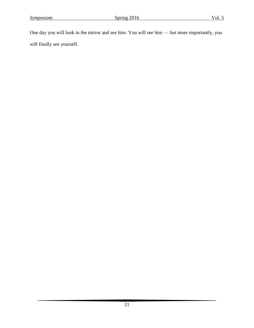One day you will look in the mirror and see him. You will see him — but more importantly, you will finally see yourself.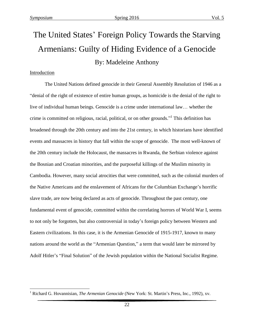## The United States' Foreign Policy Towards the Starving Armenians: Guilty of Hiding Evidence of a Genocide By: Madeleine Anthony

#### Introduction

 $\overline{a}$ 

The United Nations defined genocide in their General Assembly Resolution of 1946 as a "denial of the right of existence of entire human groups, as homicide is the denial of the right to live of individual human beings. Genocide is a crime under international law… whether the crime is committed on religious, racial, political, or on other grounds." 1 This definition has broadened through the 20th century and into the 21st century, in which historians have identified events and massacres in history that fall within the scope of genocide. The most well-known of the 20th century include the Holocaust, the massacres in Rwanda, the Serbian violence against the Bosnian and Croatian minorities, and the purposeful killings of the Muslim minority in Cambodia. However, many social atrocities that were committed, such as the colonial murders of the Native Americans and the enslavement of Africans for the Columbian Exchange's horrific slave trade, are now being declared as acts of genocide. Throughout the past century, one fundamental event of genocide, committed within the correlating horrors of World War I, seems to not only be forgotten, but also controversial in today's foreign policy between Western and Eastern civilizations. In this case, it is the Armenian Genocide of 1915-1917, known to many nations around the world as the "Armenian Question," a term that would later be mirrored by Adolf Hitler's "Final Solution" of the Jewish population within the National Socialist Regime.

<sup>1</sup> Richard G. Hovannisian, *The Armenian Genocide* (New York: St. Martin's Press, Inc., 1992), xv.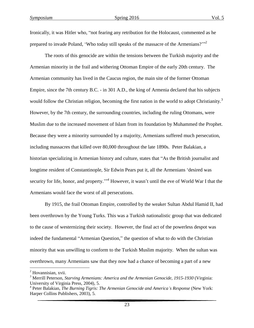Ironically, it was Hitler who, "not fearing any retribution for the Holocaust, commented as he prepared to invade Poland, 'Who today still speaks of the massacre of the Armenians?'"<sup>2</sup>

The roots of this genocide are within the tensions between the Turkish majority and the Armenian minority in the frail and withering Ottoman Empire of the early 20th century. The Armenian community has lived in the Caucus region, the main site of the former Ottoman Empire, since the 7th century B.C. - in 301 A.D., the king of Armenia declared that his subjects would follow the Christian religion, becoming the first nation in the world to adopt Christianity.<sup>3</sup> However, by the 7th century, the surrounding countries, including the ruling Ottomans, were Muslim due to the increased movement of Islam from its foundation by Muhammed the Prophet. Because they were a minority surrounded by a majority, Armenians suffered much persecution, including massacres that killed over 80,000 throughout the late 1890s. Peter Balakian, a historian specializing in Armenian history and culture, states that "As the British journalist and longtime resident of Constantinople, Sir Edwin Pears put it, all the Armenians 'desired was security for life, honor, and property."<sup>4</sup> However, it wasn't until the eve of World War I that the Armenians would face the worst of all persecutions.

By 1915, the frail Ottoman Empire, controlled by the weaker Sultan Abdul Hamid II, had been overthrown by the Young Turks. This was a Turkish nationalistic group that was dedicated to the cause of westernizing their society. However, the final act of the powerless despot was indeed the fundamental "Armenian Question," the question of what to do with the Christian minority that was unwilling to conform to the Turkish Muslim majority. When the sultan was overthrown, many Armenians saw that they now had a chance of becoming a part of a new

 $\overline{a}$ 

<sup>&</sup>lt;sup>2</sup> Hovannisian, xvii.

<sup>3</sup> Merrill Peterson, *Starving Armenians: America and the Armenian Genocide, 1915-1930* (Virginia: University of Virginia Press, 2004), 5.

<sup>4</sup> Peter Balakian, *The Burning Tigris: The Armenian Genocide and America's Response* (New York: Harper Collins Publishers, 2003), 5.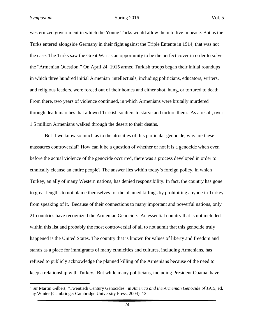westernized government in which the Young Turks would allow them to live in peace. But as the Turks entered alongside Germany in their fight against the Triple Entente in 1914, that was not the case. The Turks saw the Great War as an opportunity to be the perfect cover in order to solve the "Armenian Question." On April 24, 1915 armed Turkish troops began their initial roundups in which three hundred initial Armenian intellectuals, including politicians, educators, writers, and religious leaders, were forced out of their homes and either shot, hung, or tortured to death.<sup>5</sup> From there, two years of violence continued, in which Armenians were brutally murdered through death marches that allowed Turkish soldiers to starve and torture them. As a result, over 1.5 million Armenians walked through the desert to their deaths.

But if we know so much as to the atrocities of this particular genocide, why are these massacres controversial? How can it be a question of whether or not it is a genocide when even before the actual violence of the genocide occurred, there was a process developed in order to ethnically cleanse an entire people? The answer lies within today's foreign policy, in which Turkey, an ally of many Western nations, has denied responsibility. In fact, the country has gone to great lengths to not blame themselves for the planned killings by prohibiting anyone in Turkey from speaking of it. Because of their connections to many important and powerful nations, only 21 countries have recognized the Armenian Genocide. An essential country that is not included within this list and probably the most controversial of all to not admit that this genocide truly happened is the United States. The country that is known for values of liberty and freedom and stands as a place for immigrants of many ethnicities and cultures, including Armenians, has refused to publicly acknowledge the planned killing of the Armenians because of the need to keep a relationship with Turkey. But while many politicians, including President Obama, have

 5 Sir Martin Gilbert, "Twentieth Century Genocides" in *America and the Armenian Genocide of 1915*, ed. Jay Winter (Cambridge: Cambridge University Press, 2004), 13.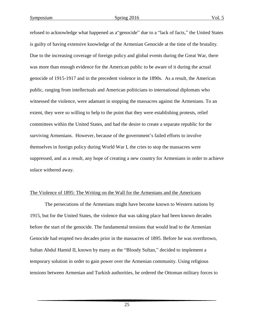refused to acknowledge what happened as a"genocide" due to a "lack of facts," the United States is guilty of having extensive knowledge of the Armenian Genocide at the time of the brutality. Due to the increasing coverage of foreign policy and global events during the Great War, there was more than enough evidence for the American public to be aware of it during the actual genocide of 1915-1917 and in the precedent violence in the 1890s. As a result, the American public, ranging from intellectuals and American politicians to international diplomats who witnessed the violence, were adamant in stopping the massacres against the Armenians. To an extent, they were so willing to help to the point that they were establishing protests, relief committees within the United States, and had the desire to create a separate republic for the surviving Armenians. However, because of the government's failed efforts to involve themselves in foreign policy during World War I, the cries to stop the massacres were suppressed, and as a result, any hope of creating a new country for Armenians in order to achieve solace withered away.

#### The Violence of 1895: The Writing on the Wall for the Armenians and the Americans

The persecutions of the Armenians might have become known to Western nations by 1915, but for the United States, the violence that was taking place had been known decades before the start of the genocide. The fundamental tensions that would lead to the Armenian Genocide had erupted two decades prior in the massacres of 1895. Before he was overthrown, Sultan Abdul Hamid II, known by many as the "Bloody Sultan," decided to implement a temporary solution in order to gain power over the Armenian community. Using religious tensions between Armenian and Turkish authorities, he ordered the Ottoman military forces to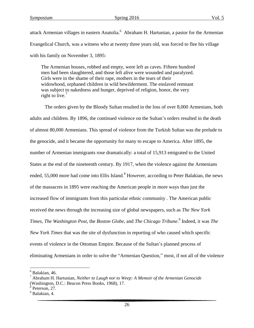attack Armenian villages in eastern Anatolia.<sup>6</sup> Abraham H. Hartunian, a pastor for the Armenian Evangelical Church, was a witness who at twenty three years old, was forced to flee his village with his family on November 3, 1895:

The Armenian houses, robbed and empty, were left as caves. Fifteen hundred men had been slaughtered, and those left alive were wounded and paralyzed. Girls were in the shame of their rape, mothers in the tears of their widowhood, orphaned children in wild bewilderment. The enslaved remnant was subject to nakedness and hunger, deprived of religion, honor, the very right to live.<sup>7</sup>

The orders given by the Bloody Sultan resulted in the loss of over 8,000 Armenians, both adults and children. By 1896, the continued violence on the Sultan's orders resulted in the death of almost 80,000 Armenians. This spread of violence from the Turkish Sultan was the prelude to the genocide, and it became the opportunity for many to escape to America. After 1895, the number of Armenian immigrants rose dramatically: a total of 15,913 emigrated to the United States at the end of the nineteenth century. By 1917, when the violence against the Armenians ended, 55,000 more had come into Ellis Island.<sup>8</sup> However, according to Peter Balakian, the news of the massacres in 1895 were reaching the American people in more ways than just the increased flow of immigrants from this particular ethnic community . The American public received the news through the increasing size of global newspapers, such as *The New York Times*, *The Washington Post*, the *Boston Globe*, and *The Chicago Tribune*. 9 Indeed, it was *The New York Times* that was the site of dysfunction in reporting of who caused which specific events of violence in the Ottoman Empire. Because of the Sultan's planned process of eliminating Armenians in order to solve the "Armenian Question," most, if not all of the violence

 $\overline{a}$ 

 $6$  Balakian, 46.

<sup>7</sup> Abraham H. Hartunian, *Neither to Laugh nor to Weep: A Memoir of the Armenian Genocide* (Washington, D.C.: Beacon Press Books, 1968), 17.

<sup>8</sup> Peterson, 27.

 $<sup>9</sup>$  Balakian, 4.</sup>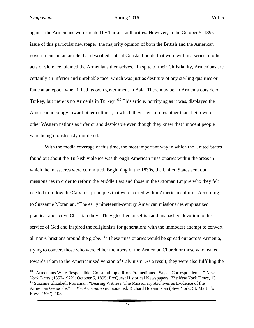$\overline{a}$ 

against the Armenians were created by Turkish authorities. However, in the October 5, 1895 issue of this particular newspaper, the majority opinion of both the British and the American governments in an article that described riots at Constantinople that were within a series of other acts of violence, blamed the Armenians themselves. "In spite of their Christianity, Armenians are certainly an inferior and unreliable race, which was just as destitute of any sterling qualities or fame at an epoch when it had its own government in Asia. There may be an Armenia outside of Turkey, but there is no Armenia in Turkey."<sup>10</sup> This article, horrifying as it was, displayed the American ideology toward other cultures, in which they saw cultures other than their own or other Western nations as inferior and despicable even though they knew that innocent people were being monstrously murdered.

With the media coverage of this time, the most important way in which the United States found out about the Turkish violence was through American missionaries within the areas in which the massacres were committed. Beginning in the 1830s, the United States sent out missionaries in order to reform the Middle East and those in the Ottoman Empire who they felt needed to follow the Calvinist principles that were rooted within American culture. According to Suzzanne Moranian, "The early nineteenth-century American missionaries emphasized practical and active Christian duty. They glorified unselfish and unabashed devotion to the service of God and inspired the religionists for generations with the immodest attempt to convert all non-Christians around the globe."<sup>11</sup> These missionaries would be spread out across Armenia, trying to convert those who were either members of the Armenian Church or those who leaned towards Islam to the Americanized version of Calvinism. As a result, they were also fulfilling the

<sup>10</sup> "Armenians Were Responsible: Constantinople Riots Premeditated, Says a Correspondent…" *New York Times* (1857-1922); October 5, 1895; ProQuest Historical Newspapers: *The New York Times*, 13. <sup>11</sup> Suzanne Elizabeth Moranian, "Bearing Witness: The Missionary Archives as Evidence of the Armenian Genocide," in *The Armenian Genocide*, ed. Richard Hovannisian (New York: St. Martin's Press, 1992), 103.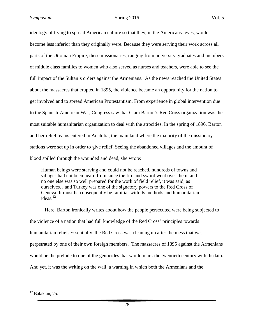ideology of trying to spread American culture so that they, in the Americans' eyes, would become less inferior than they originally were. Because they were serving their work across all parts of the Ottoman Empire, these missionaries, ranging from university graduates and members of middle class families to women who also served as nurses and teachers, were able to see the full impact of the Sultan's orders against the Armenians. As the news reached the United States about the massacres that erupted in 1895, the violence became an opportunity for the nation to get involved and to spread American Protestantism. From experience in global intervention due to the Spanish-American War, Congress saw that Clara Barton's Red Cross organization was the most suitable humanitarian organization to deal with the atrocities. In the spring of 1896, Barton and her relief teams entered in Anatolia, the main land where the majority of the missionary stations were set up in order to give relief. Seeing the abandoned villages and the amount of blood spilled through the wounded and dead, she wrote:

Human beings were starving and could not be reached, hundreds of towns and villages had not been heard from since the fire and sword went over them, and no one else was so well prepared for the work of field relief, it was said, as ourselves…and Turkey was one of the signatory powers to the Red Cross of Geneva. It must be consequently be familiar with its methods and humanitarian ideas. $12$ 

Here, Barton ironically writes about how the people persecuted were being subjected to the violence of a nation that had full knowledge of the Red Cross' principles towards humanitarian relief. Essentially, the Red Cross was cleaning up after the mess that was perpetrated by one of their own foreign members. The massacres of 1895 against the Armenians would be the prelude to one of the genocides that would mark the twentieth century with disdain. And yet, it was the writing on the wall, a warning in which both the Armenians and the

 $\overline{a}$ 

 $^{12}$  Balakian, 75.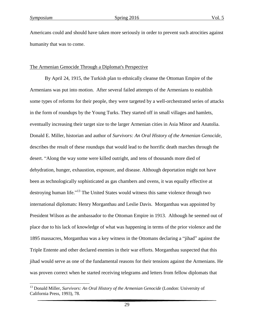$\overline{\phantom{a}}$ 

Americans could and should have taken more seriously in order to prevent such atrocities against humanity that was to come.

#### The Armenian Genocide Through a Diplomat's Perspective

By April 24, 1915, the Turkish plan to ethnically cleanse the Ottoman Empire of the Armenians was put into motion. After several failed attempts of the Armenians to establish some types of reforms for their people, they were targeted by a well-orchestrated series of attacks in the form of roundups by the Young Turks. They started off in small villages and hamlets, eventually increasing their target size to the larger Armenian cities in Asia Minor and Anatolia. Donald E. Miller, historian and author of *Survivors: An Oral History of the Armenian Genocide*, describes the result of these roundups that would lead to the horrific death marches through the desert. "Along the way some were killed outright, and tens of thousands more died of dehydration, hunger, exhaustion, exposure, and disease. Although deportation might not have been as technologically sophisticated as gas chambers and ovens, it was equally effective at destroying human life."<sup>13</sup> The United States would witness this same violence through two international diplomats: Henry Morganthau and Leslie Davis. Morganthau was appointed by President Wilson as the ambassador to the Ottoman Empire in 1913. Although he seemed out of place due to his lack of knowledge of what was happening in terms of the prior violence and the 1895 massacres, Morganthau was a key witness in the Ottomans declaring a "jihad" against the Triple Entente and other declared enemies in their war efforts. Morganthau suspected that this jihad would serve as one of the fundamental reasons for their tensions against the Armenians. He was proven correct when he started receiving telegrams and letters from fellow diplomats that

<sup>13</sup> Donald Miller, *Survivors: An Oral History of the Armenian Genocide* (London: University of California Press, 1993), 78.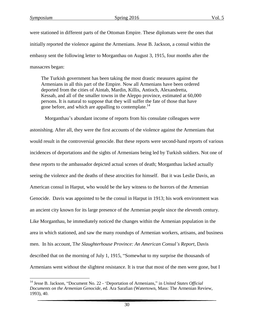$\overline{\phantom{a}}$ 

were stationed in different parts of the Ottoman Empire. These diplomats were the ones that initially reported the violence against the Armenians. Jesse B. Jackson, a consul within the embassy sent the following letter to Morganthau on August 3, 1915, four months after the massacres began:

The Turkish government has been taking the most drastic measures against the Armenians in all this part of the Empire. Now all Armenians have been ordered deported from the cities of Aintab, Mardin, Killis, Antioch, Alexandretta, Kessab, and all of the smaller towns in the Aleppo province, estimated at 60,000 persons. It is natural to suppose that they will suffer the fate of those that have gone before, and which are appalling to contemplate.<sup>14</sup>

Morganthau's abundant income of reports from his consulate colleagues were astonishing. After all, they were the first accounts of the violence against the Armenians that would result in the controversial genocide. But these reports were second-hand reports of various incidences of deportations and the sights of Armenians being led by Turkish soldiers. Not one of these reports to the ambassador depicted actual scenes of death; Morganthau lacked actually seeing the violence and the deaths of these atrocities for himself. But it was Leslie Davis, an American consul in Harput, who would be the key witness to the horrors of the Armenian Genocide. Davis was appointed to be the consul in Harput in 1913; his work environment was an ancient city known for its large presence of the Armenian people since the eleventh century. Like Morganthau, he immediately noticed the changes within the Armenian population in the area in which stationed, and saw the many roundups of Armenian workers, artisans, and business men. In his account, T*he Slaughterhouse Province: An American Consul's Report*, Davis described that on the morning of July 1, 1915, "Somewhat to my surprise the thousands of Armenians went without the slightest resistance. It is true that most of the men were gone, but I

<sup>14</sup> Jesse B. Jackson, "Document No. 22 - 'Deportation of Armenians," in *United States Official Documents on the Armenian Genocide*, ed. Ara Sarafian (Watertown, Mass: The Armenian Review, 1993), 40.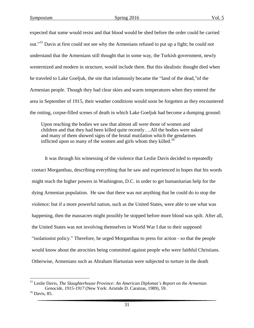expected that some would resist and that blood would be shed before the order could be carried out."<sup>15</sup> Davis at first could not see why the Armenians refused to put up a fight; he could not understand that the Armenians still thought that in some way, the Turkish government, newly westernized and modern in structure, would include them. But this idealistic thought died when he traveled to Lake Goeljuk, the site that infamously became the "land of the dead,"of the Armenian people. Though they had clear skies and warm temperatures when they entered the area in September of 1915, their weather conditions would soon be forgotten as they encountered the rotting, corpse-filled scenes of death in which Lake Goeljuk had become a dumping ground:

Upon reaching the bodies we saw that almost all were those of women and children and that they had been killed quite recently….All the bodies were naked and many of them showed signs of the brutal mutilation which the gendarmes inflicted upon so many of the women and girls whom they killed.<sup>16</sup>

It was through his witnessing of the violence that Leslie Davis decided to repeatedly contact Morganthau, describing everything that he saw and experienced in hopes that his words might reach the higher powers in Washington, D.C. in order to get humanitarian help for the dying Armenian population. He saw that there was not anything that he could do to stop the violence; but if a more powerful nation, such as the United States, were able to see what was happening, then the massacres might possibly be stopped before more blood was spilt. After all, the United States was not involving themselves in World War I due to their supposed "isolationist policy." Therefore, he urged Morganthau to press for action - so that the people would know about the atrocities being committed against people who were faithful Christians. Otherwise, Armenians such as Abraham Hartunian were subjected to torture in the death

 $\overline{\phantom{a}}$ 

<sup>15</sup> Leslie Davis, *The Slaughterhouse Province: An American Diplomat's Report on the Armenian Genocide, 1915-1917* (New York: Aristide D. Caratzas, 1989), 59.

 $16$  Davis, 85.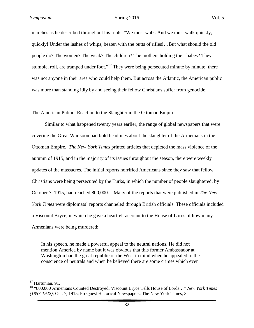marches as he described throughout his trials. "We must walk. And we must walk quickly, quickly! Under the lashes of whips, beaten with the butts of rifles!…But what should the old people do? The women? The weak? The children? The mothers holding their babes? They stumble, roll, are tramped under foot."<sup>17</sup> They were being persecuted minute by minute; there was not anyone in their area who could help them. But across the Atlantic, the American public was more than standing idly by and seeing their fellow Christians suffer from genocide.

#### The American Public: Reaction to the Slaughter in the Ottoman Empire

Similar to what happened twenty years earlier, the range of global newspapers that were covering the Great War soon had bold headlines about the slaughter of the Armenians in the Ottoman Empire. *The New York Times* printed articles that depicted the mass violence of the autumn of 1915, and in the majority of its issues throughout the season, there were weekly updates of the massacres. The initial reports horrified Americans since they saw that fellow Christians were being persecuted by the Turks, in which the number of people slaughtered, by October 7, 1915, had reached 800,000.<sup>18</sup> Many of the reports that were published in *The New York Times* were diplomats' reports channeled through British officials. These officials included a Viscount Bryce, in which he gave a heartfelt account to the House of Lords of how many Armenians were being murdered:

In his speech, he made a powerful appeal to the neutral nations. He did not mention America by name but it was obvious that this former Ambassador at Washington had the great republic of the West in mind when he appealed to the conscience of neutrals and when he believed there are some crimes which even

 $\overline{\phantom{a}}$ 

<sup>&</sup>lt;sup>17</sup> Hartunian, 91.

<sup>18</sup> "800,000 Armenians Counted Destroyed: Viscount Bryce Tells House of Lords…" *New York Times (1857-1922)*; Oct. 7, 1915; ProQuest Historical Newspapers: The New York Times, 3.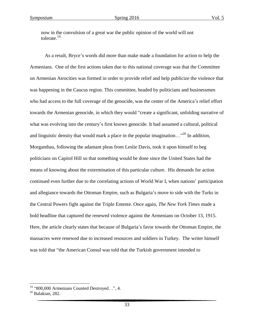now in the convulsion of a great war the public opinion of the world will not tolerate.<sup>19</sup>

As a result, Bryce's words did more than make made a foundation for action to help the Armenians. One of the first actions taken due to this national coverage was that the Committee on Armenian Atrocities was formed in order to provide relief and help publicize the violence that was happening in the Caucus region. This committee, headed by politicians and businessmen who had access to the full coverage of the genocide, was the center of the America's relief effort towards the Armenian genocide, in which they would "create a significant, unfolding narrative of what was evolving into the century's first known genocide. It had assumed a cultural, political and linguistic density that would mark a place in the popular imagination..."<sup>20</sup> In addition, Morganthau, following the adamant pleas from Leslie Davis, took it upon himself to beg politicians on Capitol Hill so that something would be done since the United States had the means of knowing about the extermination of this particular culture. His demands for action continued even further due to the correlating actions of World War I, when nations' participation and allegiance towards the Ottoman Empire, such as Bulgaria's move to side with the Turks in the Central Powers fight against the Triple Entente. Once again, *The New York Times* made a bold headline that captured the renewed violence against the Armenians on October 13, 1915. Here, the article clearly states that because of Bulgaria's favor towards the Ottoman Empire, the massacres were renewed due to increased resources and soldiers in Turkey. The writer himself was told that "the American Consul was told that the Turkish government intended to

 $\overline{\phantom{a}}$ 

 $19$  "800,000 Armenians Counted Destroyed...", 4.

 $20$  Balakian, 282.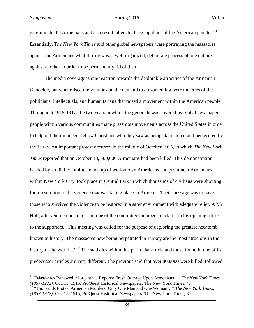$\overline{a}$ 

exterminate the Armenians and as a result, alienate the sympathies of the American people."<sup>21</sup> Essentially, T*he New York Times* and other global newspapers were portraying the massacres against the Armenians what it truly was: a well-organized, deliberate process of one culture against another in order to be permanently rid of them.

The media coverage is one reaction towards the deplorable atrocities of the Armenian Genocide, but what raised the volumes on the demand to do something were the cries of the politicians, intellectuals, and humanitarians that raised a movement within the American people. Throughout 1915-1917, the two years in which the genocide was covered by global newspapers, people within various communities made grassroots movements across the United States in order to help out their innocent fellow Christians who they saw as being slaughtered and persecuted by the Turks. An important protest occurred in the middle of October 1915, in which *The New York Times* reported that on October 18, 500,000 Armenians had been killed. This demonstration, headed by a relief committee made up of well-known Americans and prominent Armenians within New York City, took place in Central Park in which thousands of civilians were shouting for a resolution to the violence that was taking place in Armenia. Their message was to have those who survived the violence to be restored in a safer environment with adequate relief. A Mr. Holt, a fervent demonstrator and one of the committee members, declared in his opening address to the supporters, "This meeting was called for the purpose of deploring the greatest hecatomb known to history. The massacres now being perpetrated in Turkey are the most atrocious in the history of the world…"<sup>22</sup> The statistics within this particular article and those found in one of its predecessor articles are very different. The previous said that over 800,000 were killed, followed

<sup>21</sup> "Massacres Renewed, Morganthau Reports: Fresh Outrage Upon Armenians…" *The New York Times (1857-1922)*: Oct. 13, 1915; ProQuest Historical Newspapers: The New York Times, 4.

<sup>22</sup> "Thousands Protest Armenian Murders: Only One Man and One Woman…" *The New York Times, (1857-1922)*; Oct. 18, 1915; ProQuest Historical Newspapers: The New York Times, 3.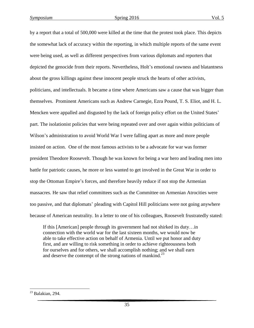by a report that a total of 500,000 were killed at the time that the protest took place. This depicts the somewhat lack of accuracy within the reporting, in which multiple reports of the same event were being used, as well as different perspectives from various diplomats and reporters that depicted the genocide from their reports. Nevertheless, Holt's emotional rawness and blatantness about the gross killings against these innocent people struck the hearts of other activists, politicians, and intellectuals. It became a time where Americans saw a cause that was bigger than themselves. Prominent Americans such as Andrew Carnegie, Ezra Pound, T. S. Eliot, and H. L. Mencken were appalled and disgusted by the lack of foreign policy effort on the United States' part. The isolationist policies that were being repeated over and over again within politicians of Wilson's administration to avoid World War I were falling apart as more and more people insisted on action. One of the most famous activists to be a advocate for war was former president Theodore Roosevelt. Though he was known for being a war hero and leading men into battle for patriotic causes, he more or less wanted to get involved in the Great War in order to stop the Ottoman Empire's forces, and therefore heavily reduce if not stop the Armenian massacres. He saw that relief committees such as the Committee on Armenian Atrocities were too passive, and that diplomats' pleading with Capitol Hill politicians were not going anywhere because of American neutrality. In a letter to one of his colleagues, Roosevelt frustratedly stated:

If this [American] people through its government had not shirked its duty…in connection with the world war for the last sixteen months, we would now be able to take effective action on behalf of Armenia. Until we put honor and duty first, and are willing to risk something in order to achieve righteousness both for ourselves and for others, we shall accomplish nothing; and we shall earn and deserve the contempt of the strong nations of mankind.<sup>23</sup>

 $\overline{a}$  $23$  Balakian, 294.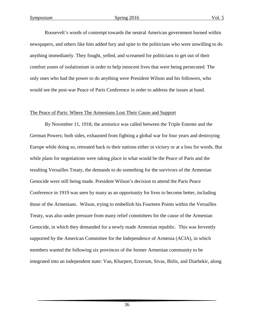Roosevelt's words of contempt towards the neutral American government burned within newspapers, and others like him added fury and spite to the politicians who were unwilling to do anything immediately. They fought, yelled, and screamed for politicians to get out of their comfort zones of isolationism in order to help innocent lives that were being persecuted. The only ones who had the power to do anything were President Wilson and his followers, who would see the post-war Peace of Paris Conference in order to address the issues at hand.

#### The Peace of Paris: Where The Armenians Lost Their Cause and Support

By November 11, 1918, the armistice was called between the Triple Entente and the German Powers; both sides, exhausted from fighting a global war for four years and destroying Europe while doing so, retreated back to their nations either in victory or at a loss for words. But while plans for negotiations were taking place in what would be the Peace of Paris and the resulting Versailles Treaty, the demands to do something for the survivors of the Armenian Genocide were still being made. President Wilson's decision to attend the Paris Peace Conference in 1919 was seen by many as an opportunity for lives to become better, including those of the Armenians. Wilson, trying to embellish his Fourteen Points within the Versailles Treaty, was also under pressure from many relief committees for the cause of the Armenian Genocide, in which they demanded for a newly made Armenian republic. This was fervently supported by the American Committee for the Independence of Armenia (ACIA), in which members wanted the following six provinces of the former Armenian community to be integrated into an independent state: Van, Kharpert, Erzerum, Sivas, Bitlis, and Diarbekir, along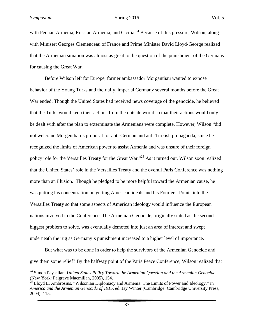$\overline{a}$ 

with Persian Armenia, Russian Armenia, and Cicilia.<sup>24</sup> Because of this pressure, Wilson, along with Minisert Georges Clemenceau of France and Prime Minister David Lloyd-George realized that the Armenian situation was almost as great to the question of the punishment of the Germans for causing the Great War.

Before Wilson left for Europe, former ambassador Morganthau wanted to expose behavior of the Young Turks and their ally, imperial Germany several months before the Great War ended. Though the United States had received news coverage of the genocide, he believed that the Turks would keep their actions from the outside world so that their actions would only be dealt with after the plan to exterminate the Armenians were complete. However, Wilson "did not welcome Morgenthau's proposal for anti-German and anti-Turkish propaganda, since he recognized the limits of American power to assist Armenia and was unsure of their foreign policy role for the Versailles Treaty for the Great War."<sup>25</sup> As it turned out, Wilson soon realized that the United States' role in the Versailles Treaty and the overall Paris Conference was nothing more than an illusion. Though he pledged to be more helpful toward the Armenian cause, he was putting his concentration on getting American ideals and his Fourteen Points into the Versailles Treaty so that some aspects of American ideology would influence the European nations involved in the Conference. The Armenian Genocide, originally stated as the second biggest problem to solve, was eventually demoted into just an area of interest and swept underneath the rug as Germany's punishment increased to a higher level of importance.

But what was to be done in order to help the survivors of the Armenian Genocide and give them some relief? By the halfway point of the Paris Peace Conference, Wilson realized that

<sup>24</sup> Simon Payaslian, *United States Policy Toward the Armenian Question and the Armenian Genocide* (New York: Palgrave Macmillan, 2005), 154.

 $^{25}$  Lloyd E. Ambrosius, "Wilsonian Diplomacy and Armenia: The Limits of Power and Ideology," in *America and the Armenian Genocide of 1915,* ed. Jay Winter (Cambridge: Cambridge University Press, 2004), 115.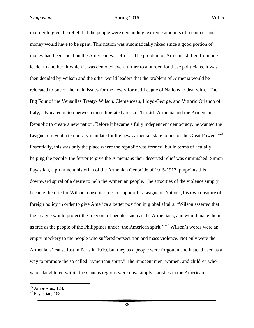in order to give the relief that the people were demanding, extreme amounts of resources and money would have to be spent. This notion was automatically nixed since a good portion of money had been spent on the American war efforts. The problem of Armenia shifted from one leader to another, it which it was demoted even further to a burden for these politicians. It was then decided by Wilson and the other world leaders that the problem of Armenia would be relocated to one of the main issues for the newly formed League of Nations to deal with. "The Big Four of the Versailles Treaty- Wilson, Clemenceau, Lloyd-George, and Vittorio Orlando of Italy, advocated union between these liberated areas of Turkish Armenia and the Armenian Republic to create a new nation. Before it became a fully independent democracy, he wanted the League to give it a temporary mandate for the new Armenian state to one of the Great Powers."<sup>26</sup> Essentially, this was only the place where the republic was formed; but in terms of actually helping the people, the fervor to give the Armenians their deserved relief was diminished. Simon Payaslian, a prominent historian of the Armenian Genocide of 1915-1917, pinpoints this downward spiral of a desire to help the Armenian people. The atrocities of the violence simply became rhetoric for Wilson to use in order to support his League of Nations, his own creature of foreign policy in order to give America a better position in global affairs. "Wilson asserted that the League would protect the freedom of peoples such as the Armenians, and would make them as free as the people of the Philippines under 'the American spirit.'"<sup>27</sup> Wilson's words were an empty mockery to the people who suffered persecution and mass violence. Not only were the Armenians' cause lost in Paris in 1919, but they as a people were forgotten and instead used as a way to promote the so called "American spirit." The innocent men, women, and children who were slaughtered within the Caucus regions were now simply statistics in the American

 $\overline{\phantom{a}}$ 

 $26$  Ambrosius, 124.

 $27$  Payaslian, 163.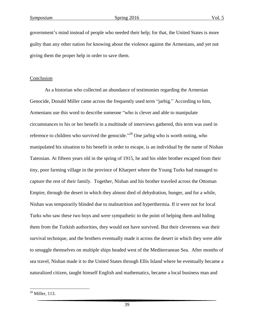government's mind instead of people who needed their help; for that, the United States is more guilty than any other nation for knowing about the violence against the Armenians, and yet not giving them the proper help in order to save them.

#### Conclusion

As a historian who collected an abundance of testimonies regarding the Armenian Genocide, Donald Miller came across the frequently used term "jarbig." According to him, Armenians use this word to describe someone "who is clever and able to manipulate circumstances to his or her benefit in a multitude of interviews gathered, this term was used in reference to children who survived the genocide."<sup>28</sup> One jarbig who is worth noting, who manipulated his situation to his benefit in order to escape, is an individual by the name of Nishan Tateosian. At fifteen years old in the spring of 1915, he and his older brother escaped from their tiny, poor farming village in the province of Kharpert where the Young Turks had managed to capture the rest of their family. Together, Nishan and his brother traveled across the Ottoman Empire, through the desert in which they almost died of dehydration, hunger, and for a while, Nishan was temporarily blinded due to malnutrition and hyperthermia. If it were not for local Turks who saw these two boys and were sympathetic to the point of helping them and hiding them from the Turkish authorities, they would not have survived. But their cleverness was their survival technique, and the brothers eventually made it across the desert in which they were able to smuggle themselves on multiple ships headed west of the Mediterranean Sea. After months of sea travel, Nishan made it to the United States through Ellis Island where he eventually became a naturalized citizen, taught himself English and mathematics, became a local business man and

 $\overline{a}$ 

<sup>28</sup> Miller, 113.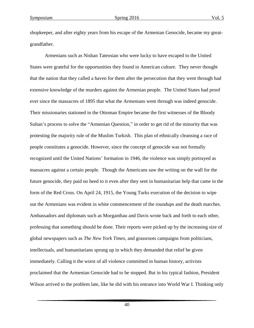shopkeeper, and after eighty years from his escape of the Armenian Genocide, became my greatgrandfather.

Armenians such as Nishan Tateosian who were lucky to have escaped to the United States were grateful for the opportunities they found in American culture. They never thought that the nation that they called a haven for them after the persecution that they went through had extensive knowledge of the murders against the Armenian people. The United States had proof ever since the massacres of 1895 that what the Armenians went through was indeed genocide. Their missionaries stationed in the Ottoman Empire became the first witnesses of the Bloody Sultan's process to solve the "Armenian Question," in order to get rid of the minority that was protesting the majority rule of the Muslim Turkish. This plan of ethnically cleansing a race of people constitutes a genocide. However, since the concept of genocide was not formally recognized until the United Nations' formation in 1946, the violence was simply portrayed as massacres against a certain people. Though the Americans saw the writing on the wall for the future genocide, they paid no heed to it even after they sent in humanitarian help that came in the form of the Red Cross. On April 24, 1915, the Young Turks execution of the decision to wipe out the Armenians was evident in white commencement of the roundups and the death marches. Ambassadors and diplomats such as Morganthau and Davis wrote back and forth to each other, professing that something should be done. Their reports were picked up by the increasing size of global newspapers such as *The New York Times*, and grassroots campaigns from politicians, intellectuals, and humanitarians sprung up in which they demanded that relief be given immediately. Calling it the worst of all violence committed in human history, activists proclaimed that the Armenian Genocide had to be stopped. But in his typical fashion, President Wilson arrived to the problem late, like he did with his entrance into World War I. Thinking only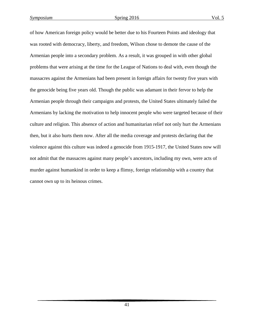of how American foreign policy would be better due to his Fourteen Points and ideology that was rooted with democracy, liberty, and freedom, Wilson chose to demote the cause of the Armenian people into a secondary problem. As a result, it was grouped in with other global problems that were arising at the time for the League of Nations to deal with, even though the massacres against the Armenians had been present in foreign affairs for twenty five years with the genocide being five years old. Though the public was adamant in their fervor to help the Armenian people through their campaigns and protests, the United States ultimately failed the Armenians by lacking the motivation to help innocent people who were targeted because of their culture and religion. This absence of action and humanitarian relief not only hurt the Armenians then, but it also hurts them now. After all the media coverage and protests declaring that the violence against this culture was indeed a genocide from 1915-1917, the United States now will not admit that the massacres against many people's ancestors, including my own, were acts of murder against humankind in order to keep a flimsy, foreign relationship with a country that cannot own up to its heinous crimes.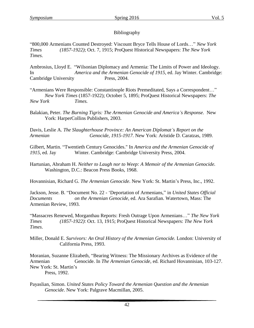# Bibliography

"800,000 Armenians Counted Destroyed: Viscount Bryce Tells House of Lords…" *New York Times (1857-1922)*; Oct. 7, 1915; ProQuest Historical Newspapers: *The New York Times*.

Ambrosius, Lloyd E. "Wilsonian Diplomacy and Armenia: The Limits of Power and Ideology. In *America and the Armenian Genocide of 1915,* ed. Jay Winter. Cambridge: Cambridge University Press, 2004.

"Armenians Were Responsible: Constantinople Riots Premeditated, Says a Correspondent…" *New York Times* (1857-1922); October 5, 1895; ProQuest Historical Newspapers: *The New York Times.*

Balakian, Peter. *The Burning Tigris: The Armenian Genocide and America's Response.* New York: HarperCollins Publishers, 2003.

Davis, Leslie A. *The Slaughterhouse Province: An American Diplomat's Report on the Armenian Genocide, 1915-1917.* New York: Aristide D. Caratzas, 1989.

Gilbert, Martin. "Twentieth Century Genocides." In *America and the Armenian Genocide of 1915*, ed. Jay Winter. Cambridge: Cambridge University Press, 2004.

Hartunian, Abraham H. *Neither to Laugh nor to Weep: A Memoir of the Armenian Genocide.* Washington, D.C.: Beacon Press Books, 1968.

Hovannisian, Richard G. *The Armenian Genocide*. New York: St. Martin's Press, Inc., 1992.

Jackson, Jesse. B. "Document No. 22 - 'Deportation of Armenians," in *United States Official Documents on the Armenian Genocide*, ed. Ara Sarafian. Watertown, Mass: The Armenian Review, 1993.

"Massacres Renewed, Morganthau Reports: Fresh Outrage Upon Armenians…" *The New York Times (1857-1922)*: Oct. 13, 1915; ProQuest Historical Newspapers: *The New York Times*.

Miller, Donald E. *Survivors: An Oral History of the Armenian Genocide.* London: University of California Press, 1993.

Moranian, Suzanne Elizabeth, "Bearing Witness: The Missionary Archives as Evidence of the Armenian Genocide. In *The Armenian Genocide*, ed. Richard Hovannisian, 103-127. New York: St. Martin's Press, 1992.

Payaslian, Simon. *United States Policy Toward the Armenian Question and the Armenian Genocide*. New York: Palgrave Macmillan, 2005.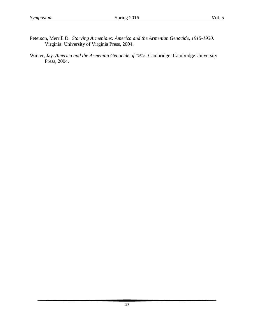- Peterson, Merrill D. *Starving Armenians: America and the Armenian Genocide, 1915-1930.* Virginia: University of Virginia Press, 2004.
- Winter, Jay. *America and the Armenian Genocide of 1915.* Cambridge: Cambridge University Press, 2004.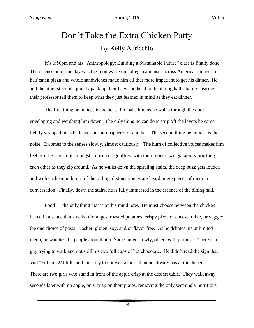# Don't Take the Extra Chicken Patty By Kelly Auricchio

It's 6:50pm and his "Anthropology: Building a Sustainable Future" class is finally done. The discussion of the day was the food waste on college campuses across America. Images of half eaten pizza and whole sandwiches made him all that more impatient to get his dinner. He and the other students quickly pack up their bags and head to the dining halls, barely hearing their professor tell them to keep what they just learned in mind as they eat dinner.

The first thing he notices is the heat. It cloaks him as he walks through the door, enveloping and weighing him down. The only thing he can do is strip off the layers he came tightly wrapped in as he leaves one atmosphere for another. The second thing he notices is the noise. It comes to the senses slowly, almost cautiously. The hum of collective voices makes him feel as if he is resting amongst a dozen dragonflies, with their modest wings rapidly brushing each other as they zip around. As he walks down the spiraling stairs, the deep buzz gets louder, and with each smooth turn of the railing, distinct voices are heard, mere pieces of random conversation. Finally, down the stairs, he is fully immersed in the essence of the dining hall.

Food — the only thing that is on his mind now. He must choose between the chicken baked in a sauce that smells of oranges; roasted potatoes; crispy pizza of cheese, olive, or veggie; the one choice of pasta; Kosher, gluten, soy, and/or flavor free. As he debates his unlimited menu, he watches the people around him. Some move slowly, others with purpose. There is a guy trying to walk and not spill his two full cups of hot chocolate. He didn't read the sign that said "Fill cup 2/3 full" and must try to not waste more than he already has at the dispenser. There are two girls who stand in front of the apple crisp at the dessert table. They walk away seconds later with no apple, only crisp on their plates, removing the only seemingly nutritious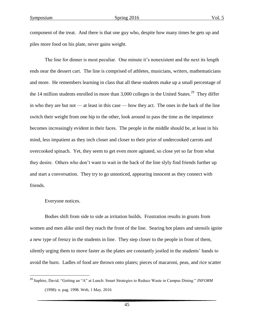component of the treat. And there is that one guy who, despite how many times he gets up and piles more food on his plate, never gains weight.

The line for dinner is most peculiar. One minute it's nonexistent and the next its length ends near the dessert cart. The line is comprised of athletes, musicians, writers, mathematicians and more. He remembers learning in class that all these students make up a small percentage of the 14 million students enrolled in more than  $3,000$  colleges in the United States.<sup>29</sup> They differ in who they are but not — at least in this case — how they act. The ones in the back of the line switch their weight from one hip to the other, look around to pass the time as the impatience becomes increasingly evident in their faces. The people in the middle should be, at least in his mind, less impatient as they inch closer and closer to their prize of undercooked carrots and overcooked spinach. Yet, they seem to get even more agitated, so close yet so far from what they desire. Others who don't want to wait in the back of the line slyly find friends further up and start a conversation. They try to go unnoticed, appearing innocent as they connect with friends.

#### Everyone notices.

 $\overline{a}$ 

Bodies shift from side to side as irritation builds. Frustration results in grunts from women and men alike until they reach the front of the line. Searing hot plates and utensils ignite a new type of frenzy in the students in line. They step closer to the people in front of them, silently urging them to move faster as the plates are constantly jostled in the students' hands to avoid the burn. Ladles of food are thrown onto plates; pieces of macaroni, peas, and rice scatter

<sup>29</sup> Saphire, David. "Getting an "A" at Lunch: Smart Strategies to Reduce Waste in Campus Dining." *INFORM* (1998): n. pag. 1998. Web, 1 May. 2016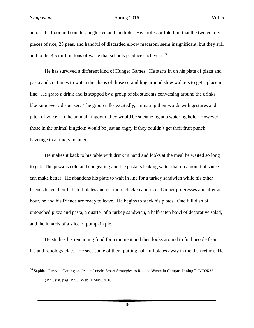$\overline{\phantom{a}}$ 

across the floor and counter, neglected and inedible. His professor told him that the twelve tiny pieces of rice, 23 peas, and handful of discarded elbow macaroni seem insignificant, but they still add to the 3.6 million tons of waste that schools produce each year. $30$ 

He has survived a different kind of Hunger Games. He starts in on his plate of pizza and pasta and continues to watch the chaos of those scrambling around slow walkers to get a place in line. He grabs a drink and is stopped by a group of six students conversing around the drinks, blocking every dispenser. The group talks excitedly, animating their words with gestures and pitch of voice. In the animal kingdom, they would be socializing at a watering hole. However, those in the animal kingdom would be just as angry if they couldn't get their fruit punch beverage in a timely manner.

He makes it back to his table with drink in hand and looks at the meal he waited so long to get. The pizza is cold and congealing and the pasta is leaking water that no amount of sauce can make better. He abandons his plate to wait in line for a turkey sandwich while his other friends leave their half-full plates and get more chicken and rice. Dinner progresses and after an hour, he and his friends are ready to leave. He begins to stack his plates. One full dish of untouched pizza and pasta, a quarter of a turkey sandwich, a half-eaten bowl of decorative salad, and the innards of a slice of pumpkin pie.

He studies his remaining food for a moment and then looks around to find people from his anthropology class. He sees some of them putting half full plates away in the dish return. He

<sup>30</sup> Saphire, David. "Getting an "A" at Lunch: Smart Strategies to Reduce Waste in Campus Dining." *INFORM* (1998): n. pag. 1998. Web, 1 May. 2016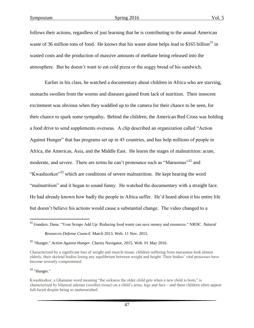follows their actions, regardless of just learning that he is contributing to the annual American waste of 36 million tons of food. He knows that his waste alone helps lead to \$165 billion<sup>31</sup> in wasted costs and the production of massive amounts of methane being released into the atmosphere. But he doesn't want to eat cold pizza or the soggy bread of his sandwich.

Earlier in his class, he watched a documentary about children in Africa who are starving, stomachs swollen from the worms and diseases gained from lack of nutrition. Their innocent excitement was obvious when they waddled up to the camera for their chance to be seen, for their chance to spark some sympathy**.** Behind the children, the American Red Cross was holding a food drive to send supplements overseas. A clip described an organization called "Action Against Hunger" that has programs set up in 45 countries, and has help millions of people in Africa, the Americas, Asia, and the Middle East. He learns the stages of malnutrition: acute, moderate, and severe. There are terms he can't pronounce such as "Marasmus"<sup>32</sup> and "Kwashiorkor"<sup>33</sup> which are conditions of severe malnutrition. He kept hearing the word "malnutrition" and it began to sound funny. He watched the documentary with a straight face. He had already known how badly the people in Africa suffer. He'd heard about it his entire life but doesn't believe his actions would cause a substantial change. The video changed to a

 $33$  "Hunger."

 $\overline{\phantom{a}}$ 

<sup>31</sup> Gunders, Dana. "Your Scraps Add Up: Reducing food waste can save money and resources." NRDC. *Natural Resources Defense Council.* March 2013. Web. 11 Nov. 2015.

<sup>32</sup> "Hunger." *Action Against Hunger*. Charity Navigator, 2015. Web. 01 May 2016.

Characterized by a significant loss of weight and muscle tissue, children suffering from marasmus look almost elderly, their skeletal bodies losing any equilibrium between weight and height. Their bodies' vital processes have become severely compromised.

Kwashiorkor, a Ghanaian word meaning "the sickness the older child gets when a new child is born," is characterized by bilateral edemas (swollen tissue) on a child's arms, legs and face—and these children often appear full-faced despite being so malnourished.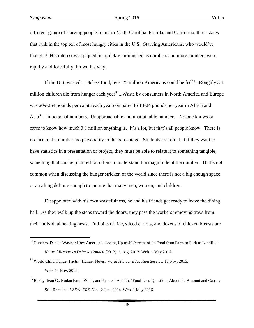$\overline{\phantom{a}}$ 

different group of starving people found in North Carolina, Florida, and California, three states that rank in the top ten of most hungry cities in the U.S. Starving Americans, who would've thought? His interest was piqued but quickly diminished as numbers and more numbers were rapidly and forcefully thrown his way.

If the U.S. wasted 15% less food, over 25 million Americans could be fed<sup>34</sup>...Roughly 3.1 million children die from hunger each year<sup>35</sup>...Waste by consumers in North America and Europe was 209-254 pounds per capita each year compared to 13-24 pounds per year in Africa and Asia<sup>36</sup>. Impersonal numbers. Unapproachable and unattainable numbers. No one knows or cares to know how much 3.1 million anything is. It's a lot, but that's all people know. There is no face to the number, no personality to the percentage. Students are told that if they want to have statistics in a presentation or project, they must be able to relate it to something tangible, something that can be pictured for others to understand the magnitude of the number. That's not common when discussing the hunger stricken of the world since there is not a big enough space or anything definite enough to picture that many men, women, and children.

Disappointed with his own wastefulness, he and his friends get ready to leave the dining hall. As they walk up the steps toward the doors, they pass the workers removing trays from their individual heating nests. Full bins of rice, sliced carrots, and dozens of chicken breasts are

<sup>&</sup>lt;sup>34</sup> Gunders, Dana. "Wasted: How America Is Losing Up to 40 Percent of Its Food from Farm to Fork to Landfill." *Natural Resources Defense Council* (2012): n. pag. 2012. Web. 1 May 2016.

<sup>35</sup> World Child Hunger Facts." Hunger Notes. *World Hunger Education Service.* 11 Nov. 2015. Web. 14 Nov. 2015.

<sup>&</sup>lt;sup>36</sup> Buzby, Jean C., Hodan Farah Wells, and Jaspreet Aulakh. "Food Loss-Questions About the Amount and Causes Still Remain." *USDA- ERS*. N.p., 2 June 2014. Web. 1 May 2016.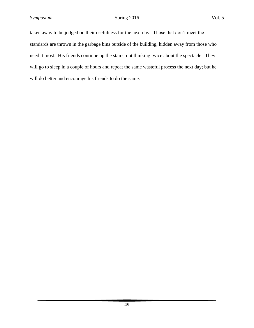taken away to be judged on their usefulness for the next day. Those that don't meet the standards are thrown in the garbage bins outside of the building, hidden away from those who need it most. His friends continue up the stairs, not thinking twice about the spectacle. They will go to sleep in a couple of hours and repeat the same wasteful process the next day; but he will do better and encourage his friends to do the same.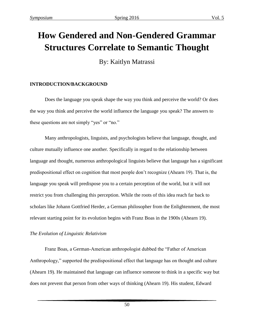# **How Gendered and Non-Gendered Grammar Structures Correlate to Semantic Thought**

By: Kaitlyn Matrassi

# **INTRODUCTION/BACKGROUND**

Does the language you speak shape the way you think and perceive the world? Or does the way you think and perceive the world influence the language you speak? The answers to these questions are not simply "yes" or "no."

Many anthropologists, linguists, and psychologists believe that language, thought, and culture mutually influence one another. Specifically in regard to the relationship between language and thought, numerous anthropological linguists believe that language has a significant predispositional effect on cognition that most people don't recognize (Ahearn 19). That is, the language you speak will predispose you to a certain perception of the world, but it will not restrict you from challenging this perception. While the roots of this idea reach far back to scholars like Johann Gottfried Herder, a German philosopher from the Enlightenment, the most relevant starting point for its evolution begins with Franz Boas in the 1900s (Ahearn 19).

# *The Evolution of Linguistic Relativism*

Franz Boas, a German-American anthropologist dubbed the "Father of American Anthropology," supported the predispositional effect that language has on thought and culture (Ahearn 19). He maintained that language can influence someone to think in a specific way but does not prevent that person from other ways of thinking (Ahearn 19). His student, Edward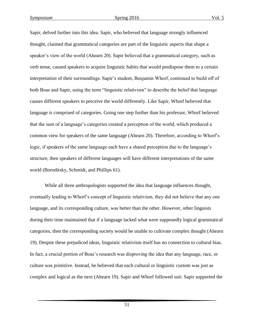Sapir, delved further into this idea. Sapir, who believed that language strongly influenced thought, claimed that grammatical categories are part of the linguistic aspects that shape a speaker's view of the world (Ahearn 20). Sapir believed that a grammatical category, such as verb tense, caused speakers to acquire linguistic habits that would predispose them to a certain interpretation of their surroundings. Sapir's student, Benjamin Whorf, continued to build off of both Boas and Sapir, using the term "linguistic relativism" to describe the belief that language causes different speakers to perceive the world differently. Like Sapir, Whorf believed that language is comprised of categories. Going one step further than his professor, Whorf believed that the sum of a language's categories created a perception of the world, which produced a common view for speakers of the same language (Ahearn 20). Therefore, according to Whorf's logic, if speakers of the same language each have a shared perception due to the language's structure, then speakers of different languages will have different interpretations of the same world (Boroditsky, Schmidt, and Phillips 61).

While all three anthropologists supported the idea that language influences thought, eventually leading to Whorf's concept of linguistic relativism, they did not believe that any one language, and its corresponding culture, was better than the other. However, other linguists during their time maintained that if a language lacked what were supposedly logical grammatical categories, then the corresponding society would be unable to cultivate complex thought (Ahearn 19). Despite these prejudiced ideas, linguistic relativism itself has no connection to cultural bias. In fact, a crucial portion of Boas's research was disproving the idea that any language, race, or culture was primitive. Instead, he believed that each cultural or linguistic custom was just as complex and logical as the next (Ahearn 19). Sapir and Whorf followed suit: Sapir supported the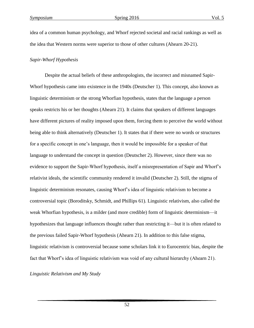idea of a common human psychology, and Whorf rejected societal and racial rankings as well as the idea that Western norms were superior to those of other cultures (Ahearn 20-21).

#### *Sapir-Whorf Hypothesis*

Despite the actual beliefs of these anthropologists, the incorrect and misnamed Sapir-Whorf hypothesis came into existence in the 1940s (Deutscher 1). This concept, also known as linguistic determinism or the strong Whorfian hypothesis, states that the language a person speaks restricts his or her thoughts (Ahearn 21). It claims that speakers of different languages have different pictures of reality imposed upon them, forcing them to perceive the world without being able to think alternatively (Deutscher 1). It states that if there were no words or structures for a specific concept in one's language, then it would be impossible for a speaker of that language to understand the concept in question (Deutscher 2). However, since there was no evidence to support the Sapir-Whorf hypothesis, itself a misrepresentation of Sapir and Whorf's relativist ideals, the scientific community rendered it invalid (Deutscher 2). Still, the stigma of linguistic determinism resonates, causing Whorf's idea of linguistic relativism to become a controversial topic (Boroditsky, Schmidt, and Phillips 61). Linguistic relativism, also called the weak Whorfian hypothesis, is a milder (and more credible) form of linguistic determinism—it hypothesizes that language influences thought rather than restricting it—but it is often related to the previous failed Sapir-Whorf hypothesis (Ahearn 21). In addition to this false stigma, linguistic relativism is controversial because some scholars link it to Eurocentric bias, despite the fact that Whorf's idea of linguistic relativism was void of any cultural hierarchy (Ahearn 21).

*Linguistic Relativism and My Study*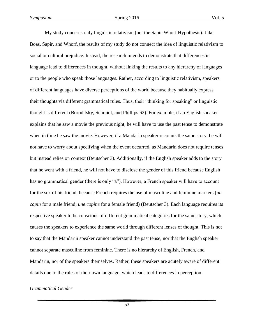My study concerns only linguistic relativism (not the Sapir-Whorf Hypothesis). Like Boas, Sapir, and Whorf, the results of my study do not connect the idea of linguistic relativism to social or cultural prejudice. Instead, the research intends to demonstrate that differences in language lead to differences in thought, without linking the results to any hierarchy of languages or to the people who speak those languages. Rather, according to linguistic relativism, speakers of different languages have diverse perceptions of the world because they habitually express their thoughts via different grammatical rules. Thus, their "thinking for speaking" or linguistic thought is different (Boroditsky, Schmidt, and Phillips 62). For example, if an English speaker explains that he saw a movie the previous night, he will have to use the past tense to demonstrate when in time he saw the movie. However, if a Mandarin speaker recounts the same story, he will not have to worry about specifying when the event occurred, as Mandarin does not require tenses but instead relies on context (Deutscher 3). Additionally, if the English speaker adds to the story that he went with a friend, he will not have to disclose the gender of this friend because English has no grammatical gender (there is only "a"). However, a French speaker will have to account for the sex of his friend, because French requires the use of masculine and feminine markers (*un copin* for a male friend; *une copine* for a female friend) (Deutscher 3). Each language requires its respective speaker to be conscious of different grammatical categories for the same story, which causes the speakers to experience the same world through different lenses of thought. This is not to say that the Mandarin speaker cannot understand the past tense, nor that the English speaker cannot separate masculine from feminine. There is no hierarchy of English, French, and Mandarin, nor of the speakers themselves. Rather, these speakers are acutely aware of different details due to the rules of their own language, which leads to differences in perception.

#### *Grammatical Gender*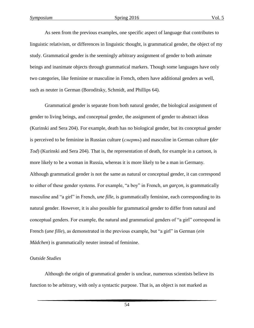As seen from the previous examples, one specific aspect of language that contributes to linguistic relativism, or differences in linguistic thought, is grammatical gender, the object of my study. Grammatical gender is the seemingly arbitrary assignment of gender to both animate beings and inanimate objects through grammatical markers. Though some languages have only two categories, like feminine or masculine in French, others have additional genders as well, such as neuter in German (Boroditsky, Schmidt, and Phillips 64).

Grammatical gender is separate from both natural gender, the biological assignment of gender to living beings, and conceptual gender, the assignment of gender to abstract ideas (Kurinski and Sera 204). For example, death has no biological gender, but its conceptual gender is perceived to be feminine in Russian culture (*смерть*) and masculine in German culture **(***der Tod*) (Kurinski and Sera 204). That is, the representation of death, for example in a cartoon, is more likely to be a woman in Russia, whereas it is more likely to be a man in Germany. Although grammatical gender is not the same as natural or conceptual gender, it can correspond to either of these gender systems. For example, "a boy" in French, *un garçon*, is grammatically masculine and "a girl" in French, *une fille*, is grammatically feminine, each corresponding to its natural gender. However, it is also possible for grammatical gender to differ from natural and conceptual genders. For example, the natural and grammatical genders of "a girl" correspond in French (*une fille*), as demonstrated in the previous example, but "a girl" in German (*ein Mädchen*) is grammatically neuter instead of feminine.

#### *Outside Studies*

Although the origin of grammatical gender is unclear, numerous scientists believe its function to be arbitrary, with only a syntactic purpose. That is, an object is not marked as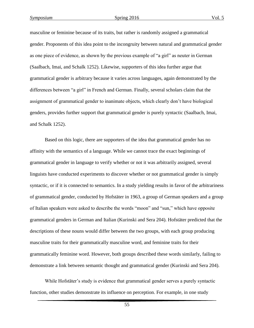masculine or feminine because of its traits, but rather is randomly assigned a grammatical gender. Proponents of this idea point to the incongruity between natural and grammatical gender as one piece of evidence, as shown by the previous example of "a girl" as neuter in German (Saalbach, Imai, and Schalk 1252). Likewise, supporters of this idea further argue that grammatical gender is arbitrary because it varies across languages, again demonstrated by the differences between "a girl" in French and German. Finally, several scholars claim that the assignment of grammatical gender to inanimate objects, which clearly don't have biological genders, provides further support that grammatical gender is purely syntactic (Saalbach, Imai, and Schalk 1252).

Based on this logic, there are supporters of the idea that grammatical gender has no affinity with the semantics of a language. While we cannot trace the exact beginnings of grammatical gender in language to verify whether or not it was arbitrarily assigned, several linguists have conducted experiments to discover whether or not grammatical gender is simply syntactic, or if it is connected to semantics. In a study yielding results in favor of the arbitrariness of grammatical gender, conducted by Hofstäter in 1963, a group of German speakers and a group of Italian speakers were asked to describe the words "moon" and "sun," which have opposite grammatical genders in German and Italian (Kurinski and Sera 204). Hofstäter predicted that the descriptions of these nouns would differ between the two groups, with each group producing masculine traits for their grammatically masculine word, and feminine traits for their grammatically feminine word. However, both groups described these words similarly, failing to demonstrate a link between semantic thought and grammatical gender (Kurinski and Sera 204).

While Hofstäter's study is evidence that grammatical gender serves a purely syntactic function, other studies demonstrate its influence on perception. For example, in one study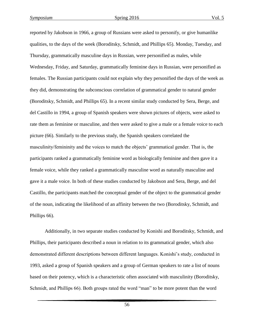reported by Jakobson in 1966, a group of Russians were asked to personify, or give humanlike qualities, to the days of the week (Boroditsky, Schmidt, and Phillips 65). Monday, Tuesday, and Thursday, grammatically masculine days in Russian, were personified as males, while Wednesday, Friday, and Saturday, grammatically feminine days in Russian, were personified as females. The Russian participants could not explain why they personified the days of the week as they did, demonstrating the subconscious correlation of grammatical gender to natural gender (Boroditsky, Schmidt, and Phillips 65). In a recent similar study conducted by Sera, Berge, and del Castillo in 1994, a group of Spanish speakers were shown pictures of objects, were asked to rate them as feminine or masculine, and then were asked to give a male or a female voice to each picture (66). Similarly to the previous study, the Spanish speakers correlated the masculinity/femininity and the voices to match the objects' grammatical gender. That is, the participants ranked a grammatically feminine word as biologically feminine and then gave it a female voice, while they ranked a grammatically masculine word as naturally masculine and gave it a male voice. In both of these studies conducted by Jakobson and Sera, Berge, and del Castillo, the participants matched the conceptual gender of the object to the grammatical gender of the noun, indicating the likelihood of an affinity between the two (Boroditsky, Schmidt, and Phillips 66).

Additionally, in two separate studies conducted by Konishi and Boroditsky, Schmidt, and Phillips, their participants described a noun in relation to its grammatical gender, which also demonstrated different descriptions between different languages. Konishi's study, conducted in 1993, asked a group of Spanish speakers and a group of German speakers to rate a list of nouns based on their potency, which is a characteristic often associated with masculinity (Boroditsky, Schmidt, and Phillips 66). Both groups rated the word "man" to be more potent than the word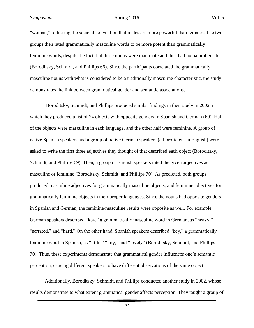"woman," reflecting the societal convention that males are more powerful than females. The two groups then rated grammatically masculine words to be more potent than grammatically feminine words, despite the fact that these nouns were inanimate and thus had no natural gender (Boroditsky, Schmidt, and Phillips 66). Since the participants correlated the grammatically masculine nouns with what is considered to be a traditionally masculine characteristic, the study demonstrates the link between grammatical gender and semantic associations.

Boroditsky, Schmidt, and Phillips produced similar findings in their study in 2002, in which they produced a list of 24 objects with opposite genders in Spanish and German (69). Half of the objects were masculine in each language, and the other half were feminine. A group of native Spanish speakers and a group of native German speakers (all proficient in English) were asked to write the first three adjectives they thought of that described each object (Boroditsky, Schmidt, and Phillips 69). Then, a group of English speakers rated the given adjectives as masculine or feminine (Boroditsky, Schmidt, and Phillips 70). As predicted, both groups produced masculine adjectives for grammatically masculine objects, and feminine adjectives for grammatically feminine objects in their proper languages. Since the nouns had opposite genders in Spanish and German, the feminine/masculine results were opposite as well. For example, German speakers described "key," a grammatically masculine word in German, as "heavy," "serrated," and "hard." On the other hand, Spanish speakers described "key," a grammatically feminine word in Spanish, as "little," "tiny," and "lovely" (Boroditsky, Schmidt, and Phillips 70). Thus, these experiments demonstrate that grammatical gender influences one's semantic perception, causing different speakers to have different observations of the same object.

Additionally, Boroditsky, Schmidt, and Phillips conducted another study in 2002, whose results demonstrate to what extent grammatical gender affects perception. They taught a group of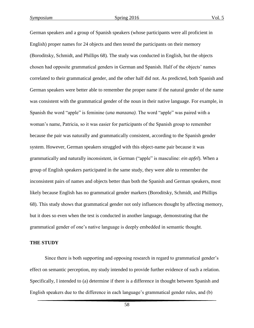German speakers and a group of Spanish speakers (whose participants were all proficient in English) proper names for 24 objects and then tested the participants on their memory (Boroditsky, Schmidt, and Phillips 68). The study was conducted in English, but the objects chosen had opposite grammatical genders in German and Spanish. Half of the objects' names correlated to their grammatical gender, and the other half did not. As predicted, both Spanish and German speakers were better able to remember the proper name if the natural gender of the name was consistent with the grammatical gender of the noun in their native language. For example, in Spanish the word "apple" is feminine (*una manzana)*. The word "apple" was paired with a woman's name, Patricia, so it was easier for participants of the Spanish group to remember because the pair was naturally and grammatically consistent, according to the Spanish gender system. However, German speakers struggled with this object-name pair because it was grammatically and naturally inconsistent, in German ("apple" is masculine: *ein apfel*). When a group of English speakers participated in the same study, they were able to remember the inconsistent pairs of names and objects better than both the Spanish and German speakers, most likely because English has no grammatical gender markers (Boroditsky, Schmidt, and Phillips 68). This study shows that grammatical gender not only influences thought by affecting memory, but it does so even when the test is conducted in another language, demonstrating that the grammatical gender of one's native language is deeply embedded in semantic thought.

#### **THE STUDY**

Since there is both supporting and opposing research in regard to grammatical gender's effect on semantic perception, my study intended to provide further evidence of such a relation. Specifically, I intended to (a) determine if there is a difference in thought between Spanish and English speakers due to the difference in each language's grammatical gender rules, and (b)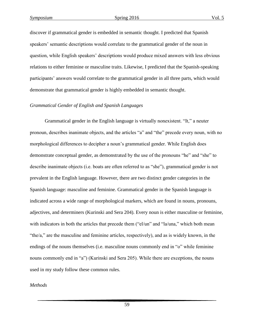discover if grammatical gender is embedded in semantic thought. I predicted that Spanish speakers' semantic descriptions would correlate to the grammatical gender of the noun in question, while English speakers' descriptions would produce mixed answers with less obvious relations to either feminine or masculine traits. Likewise, I predicted that the Spanish-speaking participants' answers would correlate to the grammatical gender in all three parts, which would demonstrate that grammatical gender is highly embedded in semantic thought.

#### *Grammatical Gender of English and Spanish Languages*

Grammatical gender in the English language is virtually nonexistent. "It," a neuter pronoun, describes inanimate objects, and the articles "a" and "the" precede every noun, with no morphological differences to decipher a noun's grammatical gender. While English does demonstrate conceptual gender, as demonstrated by the use of the pronouns "he" and "she" to describe inanimate objects (i.e. boats are often referred to as "she"), grammatical gender is not prevalent in the English language. However, there are two distinct gender categories in the Spanish language: masculine and feminine. Grammatical gender in the Spanish language is indicated across a wide range of morphological markers, which are found in nouns, pronouns, adjectives, and determiners (Kurinski and Sera 204). Every noun is either masculine or feminine, with indicators in both the articles that precede them ("el/un" and "la/una," which both mean "the/a," are the masculine and feminine articles, respectively), and as is widely known, in the endings of the nouns themselves (i.e. masculine nouns commonly end in "o" while feminine nouns commonly end in "a") (Kurinski and Sera 205). While there are exceptions, the nouns used in my study follow these common rules.

#### *Methods*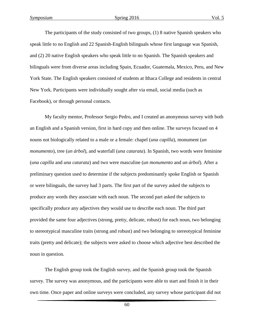The participants of the study consisted of two groups, (1) 8 native Spanish speakers who speak little to no English and 22 Spanish-English bilinguals whose first language was Spanish, and (2) 20 native English speakers who speak little to no Spanish. The Spanish speakers and bilinguals were from diverse areas including Spain, Ecuador, Guatemala, Mexico, Peru, and New York State. The English speakers consisted of students at Ithaca College and residents in central New York. Participants were individually sought after via email, social media (such as Facebook), or through personal contacts.

My faculty mentor, Professor Sergio Pedro, and I created an anonymous survey with both an English and a Spanish version, first in hard copy and then online. The surveys focused on 4 nouns not biologically related to a male or a female: chapel (*una capilla*), monument (*un monumento*), tree (*un árbol*), and waterfall (*una catarata*). In Spanish, two words were feminine (*una capilla* and *una catarata*) and two were masculine (*un monumento* and *un árbol*). After a preliminary question used to determine if the subjects predominantly spoke English or Spanish or were bilinguals, the survey had 3 parts. The first part of the survey asked the subjects to produce any words they associate with each noun. The second part asked the subjects to specifically produce any adjectives they would use to describe each noun. The third part provided the same four adjectives (strong, pretty, delicate, robust) for each noun, two belonging to stereotypical masculine traits (strong and robust) and two belonging to stereotypical feminine traits (pretty and delicate); the subjects were asked to choose which adjective best described the noun in question.

The English group took the English survey, and the Spanish group took the Spanish survey. The survey was anonymous, and the participants were able to start and finish it in their own time. Once paper and online surveys were concluded, any survey whose participant did not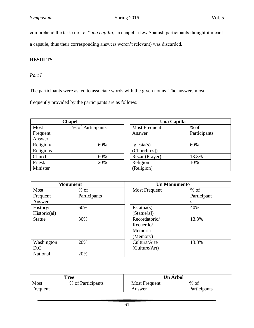comprehend the task (i.e. for "*una capilla*," a chapel, a few Spanish participants thought it meant

a capsule, thus their corresponding answers weren't relevant) was discarded.

# **RESULTS**

## *Part I*

The participants were asked to associate words with the given nouns. The answers most

frequently provided by the participants are as follows:

| <b>Chapel</b> |                   | Una Capilla          |              |  |
|---------------|-------------------|----------------------|--------------|--|
| Most          | % of Participants | <b>Most Frequent</b> | $%$ of       |  |
| Frequent      |                   | Answer               | Participants |  |
| Answer        |                   |                      |              |  |
| Religion/     | 60%               | Iglesia(s)           | 60%          |  |
| Religious     |                   | (Church[es])         |              |  |
| Church        | 60%               | Rezar (Prayer)       | 13.3%        |  |
| Priest/       | 20%               | Religión             | 10%          |  |
| Minister      |                   | (Religion)           |              |  |

| <b>Monument</b> |              |               | <b>Un Monumento</b> |  |  |
|-----------------|--------------|---------------|---------------------|--|--|
| Most            | $%$ of       | Most Frequent | $%$ of              |  |  |
| Frequent        | Participants |               | Participant         |  |  |
| Answer          |              |               | S                   |  |  |
| History/        | 60%          | Estatua(s)    | 40%                 |  |  |
| Historic(al)    |              | (State[s])    |                     |  |  |
| <b>Statue</b>   | 30%          | Recordatorio/ | 13.3%               |  |  |
|                 |              | Recuerdo/     |                     |  |  |
|                 |              | Memoria       |                     |  |  |
|                 |              | (Memory)      |                     |  |  |
| Washington      | 20%          | Cultura/Arte  | 13.3%               |  |  |
| D.C.            |              | (Culture/Art) |                     |  |  |
| National        | 20%          |               |                     |  |  |

| <b>Tree</b> |                   | <b>Un Arbol</b> |               |              |
|-------------|-------------------|-----------------|---------------|--------------|
| Most        | % of Participants |                 | Most Frequent | $%$ of       |
| Frequent    |                   |                 | Answer        | Participants |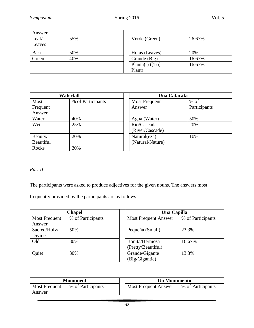| Answer      |     |                  |        |
|-------------|-----|------------------|--------|
| Leaf/       | 55% | Verde (Green)    | 26.67% |
| Leaves      |     |                  |        |
| <b>Bark</b> | 50% | Hojas (Leaves)   | 20%    |
| Green       | 40% | Grande (Big)     | 16.67% |
|             |     | Planta(r) $(To)$ | 16.67% |
|             |     | Plant)           |        |

| <b>Waterfall</b> |                   | Una Catarata         |              |
|------------------|-------------------|----------------------|--------------|
| Most             | % of Participants | <b>Most Frequent</b> | $%$ of       |
| Frequent         |                   | Answer               | Participants |
| Answer           |                   |                      |              |
| Water            | 40%               | Agua (Water)         | 50%          |
| Wet              | 25%               | Río/Cascada          | 20%          |
|                  |                   | (River/Cascade)      |              |
| Beauty/          | 20%               | Natural(eza)         | 10%          |
| Beautiful        |                   | (Natural/Nature)     |              |
| Rocks            | 20%               |                      |              |

# *Part II*

The participants were asked to produce adjectives for the given nouns. The answers most

frequently provided by the participants are as follows:

| <b>Chapel</b>        |                   | Una Capilla                 |                   |
|----------------------|-------------------|-----------------------------|-------------------|
| <b>Most Frequent</b> | % of Participants | <b>Most Frequent Answer</b> | % of Participants |
| Answer               |                   |                             |                   |
| Sacred/Holy/         | 50%               | Pequeña (Small)             | 23.3%             |
| Divine               |                   |                             |                   |
| Old                  | 30%               | Bonita/Hermosa              | 16.67%            |
|                      |                   | (Pretty/Beautiful)          |                   |
| Quiet                | 30%               | Grande/Gigante              | 13.3%             |
|                      |                   | (Big/Gigantic)              |                   |

| <b>Monument</b>                |                   | <b>Un Monumento</b>         |                   |
|--------------------------------|-------------------|-----------------------------|-------------------|
| <b>Most Frequent</b><br>Answer | % of Participants | <b>Most Frequent Answer</b> | % of Participants |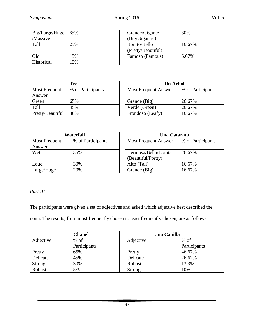| $Big/Large/Huge$   65% |     | Grande/Gigante      | 30%    |
|------------------------|-----|---------------------|--------|
| /Massive               |     | (Big/Gigantic)      |        |
| Tall                   | 25% | <b>Bonito/Bello</b> | 16.67% |
|                        |     | (Pretty/Beautiful)  |        |
| Old                    | 15% | Famoso (Famous)     | 6.67%  |
| Historical             | 5%  |                     |        |

| <b>Tree</b>          |                   | <b>Un Árbol</b>             |                   |
|----------------------|-------------------|-----------------------------|-------------------|
| <b>Most Frequent</b> | % of Participants | <b>Most Frequent Answer</b> | % of Participants |
| Answer               |                   |                             |                   |
| Green                | 65%               | Grande (Big)                | 26.67%            |
| Tall                 | 45%               | Verde (Green)               | 26.67%            |
| Pretty/Beautiful     | 30%               | Frondoso (Leafy)            | 16.67%            |

| Waterfall            |                   | Una Catarata                |                   |  |
|----------------------|-------------------|-----------------------------|-------------------|--|
| <b>Most Frequent</b> | % of Participants | <b>Most Frequent Answer</b> | % of Participants |  |
| Answer               |                   |                             |                   |  |
| Wet                  | 35%               | Hermosa/Bella/Bonita        | 26.67%            |  |
|                      |                   | (Beautiful/Pretty)          |                   |  |
| Loud                 | 30%               | Alto (Tall)                 | 16.67%            |  |
| Large/Huge           | 20%               | Grande (Big)                | 16.67%            |  |

*Part III* 

The participants were given a set of adjectives and asked which adjective best described the

noun. The results, from most frequently chosen to least frequently chosen, are as follows:

| <b>Chapel</b> |              | Una Capilla |           |              |
|---------------|--------------|-------------|-----------|--------------|
| Adjective     | $%$ of       |             | Adjective | $%$ of       |
|               | Participants |             |           | Participants |
| Pretty        | 65%          |             | Pretty    | 46.67%       |
| Delicate      | 45%          |             | Delicate  | 26.67%       |
| Strong        | 30%          |             | Robust    | 13.3%        |
| Robust        | 5%           |             | Strong    | 10%          |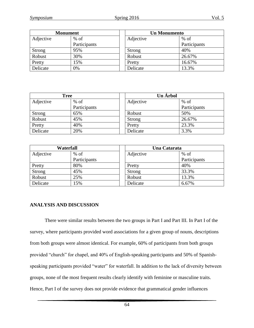| <b>Monument</b> |              | <b>Un Monumento</b> |              |  |
|-----------------|--------------|---------------------|--------------|--|
| Adjective       | $%$ of       | Adjective           | $%$ of       |  |
|                 | Participants |                     | Participants |  |
| <b>Strong</b>   | 95%          | <b>Strong</b>       | 40%          |  |
| Robust          | 30%          | Robust              | 26.67%       |  |
| Pretty          | 15%          | Pretty              | 16.67%       |  |
| Delicate        | 0%           | Delicate            | 13.3%        |  |

| <b>Tree</b> |              | Un Árbol      |              |
|-------------|--------------|---------------|--------------|
| Adjective   | $%$ of       | Adjective     | $%$ of       |
|             | Participants |               | Participants |
| Strong      | 65%          | Robust        | 50%          |
| Robust      | 45%          | <b>Strong</b> | 26.67%       |
| Pretty      | 40%          | Pretty        | 23.3%        |
| Delicate    | 20%          | Delicate      | 3.3%         |

| Waterfall     |              | Una Catarata |              |
|---------------|--------------|--------------|--------------|
| Adjective     | $%$ of       | Adjective    | $%$ of       |
|               | Participants |              | Participants |
| Pretty        | 80%          | Pretty       | 40%          |
| <b>Strong</b> | 45%          | Strong       | 33.3%        |
| Robust        | 25%          | Robust       | 13.3%        |
| Delicate      | 15%          | Delicate     | 6.67%        |

## **ANALYSIS AND DISCUSSION**

There were similar results between the two groups in Part I and Part III. In Part I of the survey, where participants provided word associations for a given group of nouns, descriptions from both groups were almost identical. For example, 60% of participants from both groups provided "church" for chapel, and 40% of English-speaking participants and 50% of Spanishspeaking participants provided "water" for waterfall. In addition to the lack of diversity between groups, none of the most frequent results clearly identify with feminine or masculine traits. Hence, Part I of the survey does not provide evidence that grammatical gender influences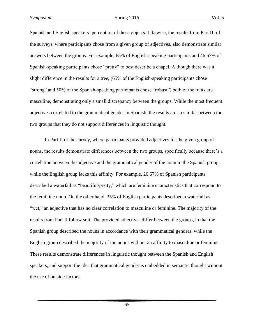Spanish and English speakers' perception of these objects. Likewise, the results from Part III of the surveys, where participants chose from a given group of adjectives, also demonstrate similar answers between the groups. For example, 65% of English-speaking participants and 46.67% of Spanish-speaking participants chose "pretty" to best describe a chapel. Although there was a slight difference in the results for a tree, (65% of the English-speaking participants chose "strong" and 50% of the Spanish-speaking participants chose "robust") both of the traits are masculine, demonstrating only a small discrepancy between the groups. While the most frequent adjectives correlated to the grammatical gender in Spanish, the results are so similar between the two groups that they do not support differences in linguistic thought.

In Part II of the survey, where participants provided adjectives for the given group of nouns, the results demonstrate differences between the two groups, specifically because there's a correlation between the adjective and the grammatical gender of the noun in the Spanish group, while the English group lacks this affinity. For example, 26.67% of Spanish participants described a waterfall as "beautiful/pretty," which are feminine characteristics that correspond to the feminine noun. On the other hand, 35% of English participants described a waterfall as "wet," an adjective that has no clear correlation to masculine or feminine. The majority of the results from Part II follow suit. The provided adjectives differ between the groups, in that the Spanish group described the nouns in accordance with their grammatical genders, while the English group described the majority of the nouns without an affinity to masculine or feminine. These results demonstrate differences in linguistic thought between the Spanish and English speakers, and support the idea that grammatical gender is embedded in semantic thought without the use of outside factors.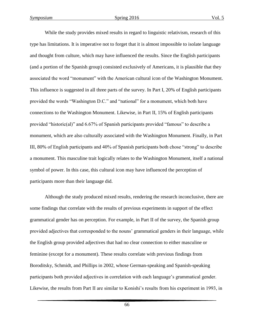While the study provides mixed results in regard to linguistic relativism, research of this type has limitations. It is imperative not to forget that it is almost impossible to isolate language and thought from culture, which may have influenced the results. Since the English participants (and a portion of the Spanish group) consisted exclusively of Americans, it is plausible that they associated the word "monument" with the American cultural icon of the Washington Monument. This influence is suggested in all three parts of the survey. In Part I, 20% of English participants provided the words "Washington D.C." and "national" for a monument, which both have connections to the Washington Monument. Likewise, in Part II, 15% of English participants provided "historic(al)" and 6.67% of Spanish participants provided "famous" to describe a monument, which are also culturally associated with the Washington Monument. Finally, in Part III, 80% of English participants and 40% of Spanish participants both chose "strong" to describe a monument. This masculine trait logically relates to the Washington Monument, itself a national symbol of power. In this case, this cultural icon may have influenced the perception of participants more than their language did.

Although the study produced mixed results, rendering the research inconclusive, there are some findings that correlate with the results of previous experiments in support of the effect grammatical gender has on perception. For example, in Part II of the survey, the Spanish group provided adjectives that corresponded to the nouns' grammatical genders in their language, while the English group provided adjectives that had no clear connection to either masculine or feminine (except for a monument). These results correlate with previous findings from Boroditsky, Schmidt, and Phillips in 2002, whose German-speaking and Spanish-speaking participants both provided adjectives in correlation with each language's grammatical gender. Likewise, the results from Part II are similar to Konishi's results from his experiment in 1993, in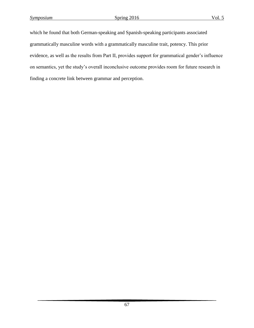which he found that both German-speaking and Spanish-speaking participants associated grammatically masculine words with a grammatically masculine trait, potency. This prior evidence, as well as the results from Part II, provides support for grammatical gender's influence on semantics, yet the study's overall inconclusive outcome provides room for future research in finding a concrete link between grammar and perception.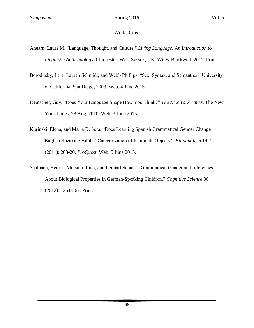# Works Cited

- Ahearn, Laura M. "Language, Thought, and Culture." *Living Language: An Introduction to Linguistic Anthropology*. Chichester, West Sussex, UK: Wiley-Blackwell, 2012. Print.
- Boroditsky, Lera, Lauren Schmidt, and Webb Phillips. "Sex, Syntax, and Semantics." University of California, San Diego, 2003. Web. 4 June 2015.
- Deutscher, Guy. "Does Your Language Shape How You Think?" *The New York Times*. The New York Times, 28 Aug. 2010. Web. 3 June 2015.
- Kurinski, Elena, and Maria D. Sera. "Does Learning Spanish Grammatical Gender Change English-Speaking Adults' Categorization of Inanimate Objects?" *Bilingualism* 14.2 (2011): 203-20. *ProQuest*. Web. 5 June 2015.
- Saalbach, Henrik, Mutsumi Imai, and Lennart Schalk. "Grammatical Gender and Inferences About Biological Properties in German-Speaking Children." *Cognitive Science* 36 (2012): 1251-267. Print.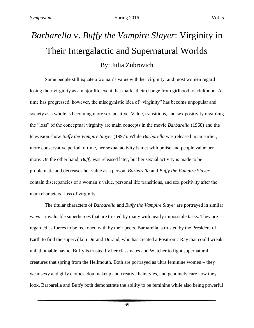# *Barbarella* v. *Buffy the Vampire Slayer*: Virginity in Their Intergalactic and Supernatural Worlds By: Julia Zubrovich

Some people still equate a woman's value with her virginity, and most women regard losing their virginity as a major life event that marks their change from girlhood to adulthood. As time has progressed, however, the misogynistic idea of "virginity" has become unpopular and society as a whole is becoming more sex-positive. Value, transitions, and sex positivity regarding the "loss" of the conceptual virginity are main concepts in the movie *Barbarella* (1968) and the television show *Buffy the Vampire Slayer* (1997). While *Barbarella* was released in an earlier, more conservative period of time, her sexual activity is met with praise and people value her more. On the other hand, *Buffy* was released later, but her sexual activity is made to be problematic and decreases her value as a person. *Barbarella* and *Buffy the Vampire Slayer* contain discrepancies of a woman's value, personal life transitions, and sex positivity after the main characters' loss of virginity.

The titular characters of *Barbarella* and *Buffy the Vampire Slayer* are portrayed in similar ways – invaluable superheroes that are trusted by many with nearly impossible tasks. They are regarded as forces to be reckoned with by their peers. Barbarella is trusted by the President of Earth to find the supervillain Durand Durand, who has created a Positronic Ray that could wreak unfathomable havoc. Buffy is trusted by her classmates and Watcher to fight supernatural creatures that spring from the Hellmouth. Both are portrayed as ultra feminine women – they wear sexy and girly clothes, don makeup and creative hairstyles, and genuinely care how they look. Barbarella and Buffy both demonstrate the ability to be feminine while also being powerful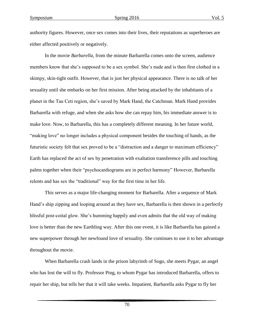authority figures. However, once sex comes into their lives, their reputations as superheroes are either affected positively or negatively.

In the movie *Barbarella*, from the minute Barbarella comes onto the screen, audience members know that she's supposed to be a sex symbol. She's nude and is then first clothed in a skimpy, skin-tight outfit. However, that is just her physical appearance. There is no talk of her sexuality until she embarks on her first mission. After being attacked by the inhabitants of a planet in the Tau Ceti region, she's saved by Mark Hand, the Catchman. Mark Hand provides Barbarella with refuge, and when she asks how she can repay him, his immediate answer is to make love. Now, to Barbarella, this has a completely different meaning. In her future world, "making love" no longer includes a physical component besides the touching of hands, as the futuristic society felt that sex proved to be a "distraction and a danger to maximum efficiency" Earth has replaced the act of sex by penetration with exaltation transference pills and touching palms together when their "psychocardiograms are in perfect harmony" However, Barbarella relents and has sex the "traditional" way for the first time in her life.

This serves as a major life-changing moment for Barbarella. After a sequence of Mark Hand's ship zipping and looping around as they have sex, Barbarella is then shown in a perfectly blissful post-coital glow. She's humming happily and even admits that the old way of making love is better than the new Earthling way. After this one event, it is like Barbarella has gained a new superpower through her newfound love of sexuality. She continues to use it to her advantage throughout the movie.

When Barbarella crash lands in the prison labyrinth of Sogo, she meets Pygar, an angel who has lost the will to fly. Professor Ping, to whom Pygar has introduced Barbarella, offers to repair her ship, but tells her that it will take weeks. Impatient, Barbarella asks Pygar to fly her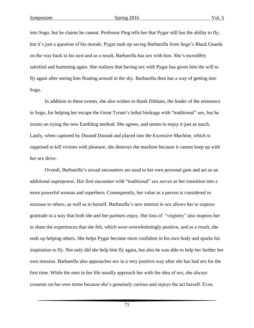into Sogo, but he claims he cannot. Professor Ping tells her that Pygar still has the ability to fly, but it's just a question of his morale. Pygar ends up saving Barbarella from Sogo's Black Guards on the way back to his nest and as a result, Barbarella has sex with him. She's incredibly satisfied and humming again. She realizes that having sex with Pygar has given him the will to fly again after seeing him floating around in the sky. Barbarella then has a way of getting into Sogo.

In addition to these events, she also wishes to thank Dildano, the leader of the resistance in Sogo, for helping her escape the Great Tyrant's lethal birdcage with "traditional" sex, but he insists on trying the new Earthling method. She agrees, and seems to enjoy it just as much. Lastly, when captured by Durand Durand and placed into the Excessive Machine, which is supposed to kill victims with pleasure, she destroys the machine because it cannot keep up with her sex drive.

Overall, Barbarella's sexual encounters are used to her own personal gain and act as an additional superpower. Her first encounter with "traditional" sex serves as her transition into a more powerful woman and superhero. Consequently, her value as a person is considered to increase to others, as well as to herself. Barbarella's new interest in sex allows her to express gratitude in a way that both she and her partners enjoy. Her loss of "virginity" also inspires her to share the experiences that she felt, which were overwhelmingly positive, and as a result, she ends up helping others. She helps Pygar become more confident in his own body and sparks his inspiration to fly. Not only did she help him fly again, but also he was able to help her further her own mission. Barbarella also approaches sex in a very positive way after she has had sex for the first time. While the men in her life usually approach her with the idea of sex, she always consents on her own terms because she's genuinely curious and enjoys the act herself. Even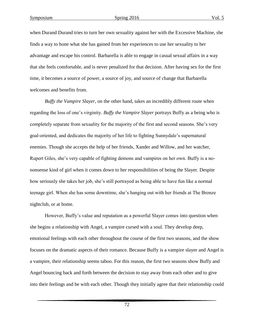when Durand Durand tries to turn her own sexuality against her with the Excessive Machine, she finds a way to hone what she has gained from her experiences to use her sexuality to her advantage and escape his control. Barbarella is able to engage in casual sexual affairs in a way that she feels comfortable, and is never penalized for that decision. After having sex for the first time, it becomes a source of power, a source of joy, and source of change that Barbarella welcomes and benefits from.

*Buffy the Vampire Slayer*, on the other hand, takes an incredibly different route when regarding the loss of one's virginity. *Buffy the Vampire Slayer* portrays Buffy as a being who is completely separate from sexuality for the majority of the first and second seasons. She's very goal-oriented, and dedicates the majority of her life to fighting Sunnydale's supernatural enemies. Though she accepts the help of her friends, Xander and Willow, and her watcher, Rupert Giles, she's very capable of fighting demons and vampires on her own. Buffy is a nononsense kind of girl when it comes down to her responsibilities of being the Slayer. Despite how seriously she takes her job, she's still portrayed as being able to have fun like a normal teenage girl. When she has some downtime, she's hanging out with her friends at The Bronze nightclub, or at home.

However, Buffy's value and reputation as a powerful Slayer comes into question when she begins a relationship with Angel, a vampire cursed with a soul. They develop deep, emotional feelings with each other throughout the course of the first two seasons, and the show focuses on the dramatic aspects of their romance. Because Buffy is a vampire slayer and Angel is a vampire, their relationship seems taboo. For this reason, the first two seasons show Buffy and Angel bouncing back and forth between the decision to stay away from each other and to give into their feelings and be with each other. Though they initially agree that their relationship could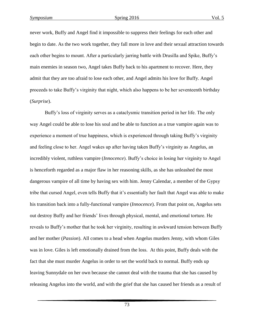never work, Buffy and Angel find it impossible to suppress their feelings for each other and begin to date. As the two work together, they fall more in love and their sexual attraction towards each other begins to mount. After a particularly jarring battle with Drusilla and Spike, Buffy's main enemies in season two, Angel takes Buffy back to his apartment to recover. Here, they admit that they are too afraid to lose each other, and Angel admits his love for Buffy. Angel proceeds to take Buffy's virginity that night, which also happens to be her seventeenth birthday (*Surprise*).

Buffy's loss of virginity serves as a cataclysmic transition period in her life. The only way Angel could be able to lose his soul and be able to function as a true vampire again was to experience a moment of true happiness, which is experienced through taking Buffy's virginity and feeling close to her. Angel wakes up after having taken Buffy's virginity as Angelus, an incredibly violent, ruthless vampire (*Innocence*). Buffy's choice in losing her virginity to Angel is henceforth regarded as a major flaw in her reasoning skills, as she has unleashed the most dangerous vampire of all time by having sex with him. Jenny Calendar, a member of the Gypsy tribe that cursed Angel, even tells Buffy that it's essentially her fault that Angel was able to make his transition back into a fully-functional vampire (*Innocence*). From that point on, Angelus sets out destroy Buffy and her friends' lives through physical, mental, and emotional torture. He reveals to Buffy's mother that he took her virginity, resulting in awkward tension between Buffy and her mother (*Passion*). All comes to a head when Angelus murders Jenny, with whom Giles was in love. Giles is left emotionally drained from the loss. At this point, Buffy deals with the fact that she must murder Angelus in order to set the world back to normal. Buffy ends up leaving Sunnydale on her own because she cannot deal with the trauma that she has caused by releasing Angelus into the world, and with the grief that she has caused her friends as a result of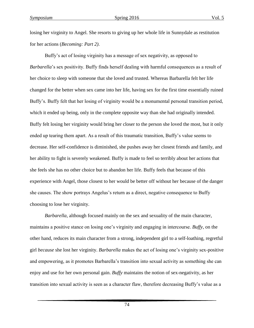losing her virginity to Angel. She resorts to giving up her whole life in Sunnydale as restitution for her actions (*Becoming: Part 2)*.

Buffy's act of losing virginity has a message of sex negativity, as opposed to *Barbarella*'s sex positivity. Buffy finds herself dealing with harmful consequences as a result of her choice to sleep with someone that she loved and trusted. Whereas Barbarella felt her life changed for the better when sex came into her life, having sex for the first time essentially ruined Buffy's. Buffy felt that her losing of virginity would be a monumental personal transition period, which it ended up being, only in the complete opposite way than she had originally intended. Buffy felt losing her virginity would bring her closer to the person she loved the most, but it only ended up tearing them apart. As a result of this traumatic transition, Buffy's value seems to decrease. Her self-confidence is diminished, she pushes away her closest friends and family, and her ability to fight is severely weakened. Buffy is made to feel so terribly about her actions that she feels she has no other choice but to abandon her life. Buffy feels that because of this experience with Angel, those closest to her would be better off without her because of the danger she causes. The show portrays Angelus's return as a direct, negative consequence to Buffy choosing to lose her virginity.

*Barbarella*, although focused mainly on the sex and sexuality of the main character, maintains a positive stance on losing one's virginity and engaging in intercourse. *Buffy*, on the other hand, reduces its main character from a strong, independent girl to a self-loathing, regretful girl *because* she lost her virginity. *Barbarella* makes the act of losing one's virginity sex-positive and empowering, as it promotes Barbarella's transition into sexual activity as something she can enjoy and use for her own personal gain. *Buffy* maintains the notion of sex-negativity, as her transition into sexual activity is seen as a character flaw, therefore decreasing Buffy's value as a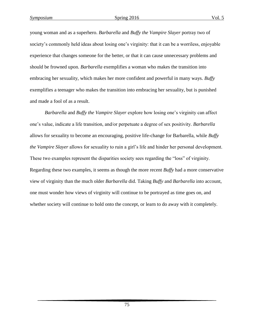young woman and as a superhero. *Barbarella* and *Buffy the Vampire Slayer* portray two of society's commonly held ideas about losing one's virginity: that it can be a worriless, enjoyable experience that changes someone for the better, or that it can cause unnecessary problems and should be frowned upon. *Barbarella* exemplifies a woman who makes the transition into embracing her sexuality, which makes her more confident and powerful in many ways. *Buffy* exemplifies a teenager who makes the transition into embracing her sexuality, but is punished and made a fool of as a result.

*Barbarella* and *Buffy the Vampire Slayer* explore how losing one's virginity can affect one's value, indicate a life transition, and/or perpetuate a degree of sex positivity. *Barbarella* allows for sexuality to become an encouraging, positive life-change for Barbarella, while *Buffy the Vampire Slayer* allows for sexuality to ruin a girl's life and hinder her personal development. These two examples represent the disparities society sees regarding the "loss" of virginity. Regarding these two examples, it seems as though the more recent *Buffy* had a more conservative view of virginity than the much older *Barbarella* did. Taking *Buffy* and *Barbarella* into account, one must wonder how views of virginity will continue to be portrayed as time goes on, and whether society will continue to hold onto the concept, or learn to do away with it completely.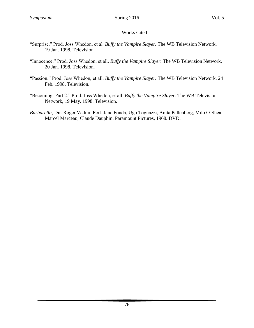#### Works Cited

- "Surprise." Prod. Joss Whedon, et al. *Buffy the Vampire Slayer.* The WB Television Network, 19 Jan. 1998. Television.
- "Innocence." Prod. Joss Whedon, et all. *Buffy the Vampire Slayer.* The WB Television Network, 20 Jan. 1998. Television.
- "Passion." Prod. Joss Whedon, et all. *Buffy the Vampire Slayer.* The WB Television Network, 24 Feb. 1998. Television.
- "Becoming: Part 2." Prod. Joss Whedon, et all. *Buffy the Vampire Slayer.* The WB Television Network, 19 May. 1998. Television.
- *Barbarella*, Dir. Roger Vadim. Perf. Jane Fonda, Ugo Tognazzi, Anita Pallenberg, Milo O'Shea, Marcel Marceau, Claude Dauphin. Paramount Pictures, 1968. DVD.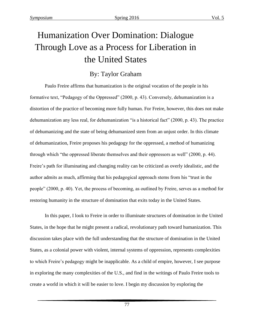## Humanization Over Domination: Dialogue Through Love as a Process for Liberation in the United States

### By: Taylor Graham

Paulo Freire affirms that humanization is the original vocation of the people in his formative text, "Pedagogy of the Oppressed" (2000, p. 43). Conversely, dehumanization is a distortion of the practice of becoming more fully human. For Freire, however, this does not make dehumanization any less real, for dehumanization "is a historical fact" (2000, p. 43). The practice of dehumanizing and the state of being dehumanized stem from an unjust order. In this climate of dehumanization, Freire proposes his pedagogy for the oppressed, a method of humanizing through which "the oppressed liberate themselves and their oppressors as well" (2000, p. 44). Freire's path for illuminating and changing reality can be criticized as overly idealistic, and the author admits as much, affirming that his pedagogical approach stems from his "trust in the people" (2000, p. 40). Yet, the process of becoming, as outlined by Freire, serves as a method for restoring humanity in the structure of domination that exits today in the United States.

In this paper, I look to Freire in order to illuminate structures of domination in the United States, in the hope that he might present a radical, revolutionary path toward humanization. This discussion takes place with the full understanding that the structure of domination in the United States, as a colonial power with violent, internal systems of oppression, represents complexities to which Freire's pedagogy might be inapplicable. As a child of empire, however, I see purpose in exploring the many complexities of the U.S., and find in the writings of Paulo Freire tools to create a world in which it will be easier to love. I begin my discussion by exploring the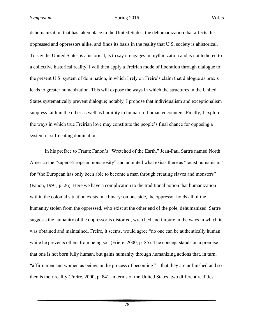dehumanization that has taken place in the United States; the dehumanization that affects the oppressed and oppressors alike, and finds its basis in the reality that U.S. society is ahistorical. To say the United States is ahistorical, is to say it engages in mythicization and is not tethered to a collective historical reality. I will then apply a Freirian mode of liberation through dialogue to the present U.S. system of domination, in which I rely on Freire's claim that dialogue as praxis leads to greater humanization. This will expose the ways in which the structures in the United States systematically prevent dialogue; notably, I propose that individualism and exceptionalism suppress faith in the other as well as humility in human-to-human encounters. Finally, I explore the ways in which true Freirian love may constitute the people's final chance for opposing a system of suffocating domination.

In his preface to Frantz Fanon's "Wretched of the Earth," Jean-Paul Sartre named North America the "super-European monstrosity" and anointed what exists there as "racist humanism," for "the European has only been able to become a man through creating slaves and monsters" (Fanon, 1991, p. 26). Here we have a complication to the traditional notion that humanization within the colonial situation exists in a binary: on one side, the oppressor holds all of the humanity stolen from the oppressed, who exist at the other end of the pole, dehumanized. Sartre suggests the humanity of the oppressor is distorted, wretched and impure in the ways in which it was obtained and maintained. Freire, it seems, would agree "no one can be authentically human while he prevents others from being so" (Friere, 2000, p. 85). The concept stands on a premise that one is not born fully human, but gains humanity through humanizing actions that, in turn, "affirm men and women as beings in the process of becoming*"*—that they are unfinished and so then is their reality (Freire, 2000, p. 84). In terms of the United States, two different realities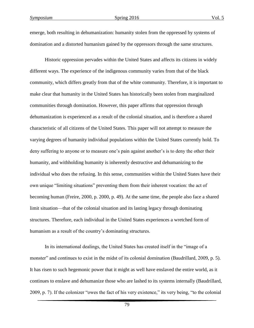emerge, both resulting in dehumanization: humanity stolen from the oppressed by systems of domination and a distorted humanism gained by the oppressors through the same structures.

Historic oppression pervades within the United States and affects its citizens in widely different ways. The experience of the indigenous community varies from that of the black community, which differs greatly from that of the white community. Therefore, it is important to make clear that humanity in the United States has historically been stolen from marginalized communities through domination. However, this paper affirms that oppression through dehumanization is experienced as a result of the colonial situation, and is therefore a shared characteristic of all citizens of the United States. This paper will not attempt to measure the varying degrees of humanity individual populations within the United States currently hold. To deny suffering to anyone or to measure one's pain against another's is to deny the other their humanity, and withholding humanity is inherently destructive and dehumanizing to the individual who does the refusing. In this sense, communities within the United States have their own unique "limiting situations" preventing them from their inherent vocation: the act of becoming human (Freire, 2000, p. 2000, p. 49). At the same time, the people also face a shared limit situation—that of the colonial situation and its lasting legacy through dominating structures. Therefore, each individual in the United States experiences a wretched form of humanism as a result of the country's dominating structures.

In its international dealings, the United States has created itself in the "image of a monster" and continues to exist in the midst of its colonial domination (Baudrillard, 2009, p. 5). It has risen to such hegemonic power that it might as well have enslaved the entire world, as it continues to enslave and dehumanize those who are lashed to its systems internally (Baudrillard, 2009, p. 7). If the colonizer "owes the fact of his very existence," its very being, "to the colonial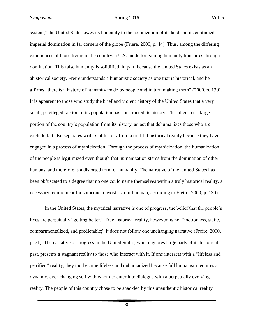system," the United States owes its humanity to the colonization of its land and its continued imperial domination in far corners of the globe (Friere, 2000, p. 44). Thus, among the differing experiences of those living in the country, a U.S. mode for gaining humanity transpires through domination. This false humanity is solidified, in part, because the United States exists as an ahistorical society. Freire understands a humanistic society as one that is historical, and he affirms "there is a history of humanity made by people and in turn making them" (2000, p. 130). It is apparent to those who study the brief and violent history of the United States that a very small, privileged faction of its population has constructed its history. This alienates a large portion of the country's population from its history, an act that dehumanizes those who are excluded. It also separates writers of history from a truthful historical reality because they have engaged in a process of mythicization. Through the process of mythicization, the humanization of the people is legitimized even though that humanization stems from the domination of other humans, and therefore is a distorted form of humanity. The narrative of the United States has been obfuscated to a degree that no one could name themselves within a truly historical reality, a necessary requirement for someone to exist as a full human, according to Freire (2000, p. 130).

In the United States, the mythical narrative is one of progress, the belief that the people's lives are perpetually "getting better." True historical reality, however, is not "motionless, static, compartmentalized, and predictable;" it does not follow one unchanging narrative (Freire, 2000, p. 71). The narrative of progress in the United States, which ignores large parts of its historical past, presents a stagnant reality to those who interact with it. If one interacts with a "lifeless and petrified" reality, they too become lifeless and dehumanized because full humanism requires a dynamic, ever-changing self with whom to enter into dialogue with a perpetually evolving reality. The people of this country chose to be shackled by this unauthentic historical reality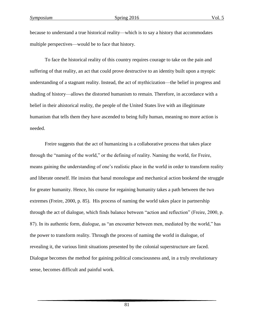because to understand a true historical reality—which is to say a history that accommodates multiple perspectives—would be to face that history.

To face the historical reality of this country requires courage to take on the pain and suffering of that reality, an act that could prove destructive to an identity built upon a myopic understanding of a stagnant reality. Instead, the act of mythicization—the belief in progress and shading of history—allows the distorted humanism to remain. Therefore, in accordance with a belief in their ahistorical reality, the people of the United States live with an illegitimate humanism that tells them they have ascended to being fully human, meaning no more action is needed.

Freire suggests that the act of humanizing is a collaborative process that takes place through the "naming of the world," or the defining of reality. Naming the world, for Freire, means gaining the understanding of one's realistic place in the world in order to transform reality and liberate oneself. He insists that banal monologue and mechanical action bookend the struggle for greater humanity. Hence, his course for regaining humanity takes a path between the two extremes (Freire, 2000, p. 85). His process of naming the world takes place in partnership through the act of dialogue, which finds balance between "action and reflection" (Freire, 2000, p. 87). In its authentic form, dialogue, as "an encounter between men, mediated by the world," has the power to transform reality. Through the process of naming the world in dialogue, of revealing it, the various limit situations presented by the colonial superstructure are faced. Dialogue becomes the method for gaining political consciousness and, in a truly revolutionary sense, becomes difficult and painful work.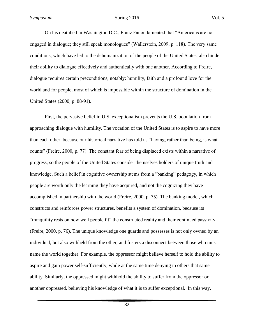On his deathbed in Washington D.C., Franz Fanon lamented that "Americans are not engaged in dialogue; they still speak monologues" (Wallerstein, 2009, p. 118). The very same conditions, which have led to the dehumanization of the people of the United States, also hinder their ability to dialogue effectively and authentically with one another. According to Freire, dialogue requires certain preconditions, notably: humility, faith and a profound love for the world and for people, most of which is impossible within the structure of domination in the United States (2000, p. 88-91).

First, the pervasive belief in U.S. exceptionalism prevents the U.S. population from approaching dialogue with humility. The vocation of the United States is to aspire to have more than each other, because our historical narrative has told us "having, rather than being, is what counts" (Freire, 2000, p. 77). The constant fear of being displaced exists within a narrative of progress, so the people of the United States consider themselves holders of unique truth and knowledge. Such a belief in cognitive ownership stems from a "banking" pedagogy, in which people are worth only the learning they have acquired, and not the cognizing they have accomplished in partnership with the world (Freire, 2000, p. 75). The banking model, which constructs and reinforces power structures, benefits a system of domination, because its "tranquility rests on how well people fit" the constructed reality and their continued passivity (Freire, 2000, p. 76). The unique knowledge one guards and possesses is not only owned by an individual, but also withheld from the other, and fosters a disconnect between those who must name the world together. For example, the oppressor might believe herself to hold the ability to aspire and gain power self-sufficiently, while at the same time denying in others that same ability. Similarly, the oppressed might withhold the ability to suffer from the oppressor or another oppressed, believing his knowledge of what it is to suffer exceptional. In this way,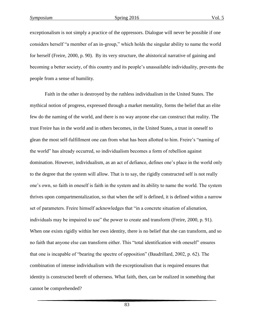exceptionalism is not simply a practice of the oppressors. Dialogue will never be possible if one considers herself "a member of an in-group," which holds the singular ability to name the world for herself (Freire, 2000, p. 90). By its very structure, the ahistorical narrative of gaining and becoming a better society, of this country and its people's unassailable individuality, prevents the people from a sense of humility.

Faith in the other is destroyed by the ruthless individualism in the United States. The mythical notion of progress, expressed through a market mentality, forms the belief that an elite few do the naming of the world, and there is no way anyone else can construct that reality. The trust Freire has in the world and in others becomes, in the United States, a trust in oneself to glean the most self-fulfillment one can from what has been allotted to him. Freire's "naming of the world" has already occurred, so individualism becomes a form of rebellion against domination. However, individualism, as an act of defiance, defines one's place in the world only to the degree that the system will allow. That is to say, the rigidly constructed self is not really one's own, so faith in oneself is faith in the system and its ability to name the world. The system thrives upon compartmentalization, so that when the self is defined, it is defined within a narrow set of parameters. Freire himself acknowledges that "in a concrete situation of alienation, individuals may be impaired to use" the power to create and transform (Freire, 2000, p. 91). When one exists rigidly within her own identity, there is no belief that she can transform, and so no faith that anyone else can transform either. This "total identification with oneself" ensures that one is incapable of "bearing the spectre of opposition" (Baudrillard, 2002, p. 62). The combination of intense individualism with the exceptionalism that is required ensures that identity is constructed bereft of otherness. What faith, then, can be realized in something that cannot be comprehended?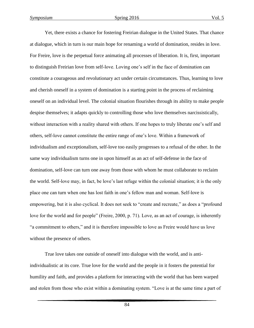Yet, there exists a chance for fostering Freirian dialogue in the United States. That chance at dialogue, which in turn is our main hope for renaming a world of domination, resides in love. For Freire, love is the perpetual force animating all processes of liberation. It is, first, important to distinguish Freirian love from self-love. Loving one's self in the face of domination can constitute a courageous and revolutionary act under certain circumstances. Thus, learning to love and cherish oneself in a system of domination is a starting point in the process of reclaiming oneself on an individual level. The colonial situation flourishes through its ability to make people despise themselves; it adapts quickly to controlling those who love themselves narcissistically, without interaction with a reality shared with others. If one hopes to truly liberate one's self and others, self-love cannot constitute the entire range of one's love. Within a framework of individualism and exceptionalism, self-love too easily progresses to a refusal of the other. In the same way individualism turns one in upon himself as an act of self-defense in the face of domination, self-love can turn one away from those with whom he must collaborate to reclaim the world. Self-love may, in fact, be love's last refuge within the colonial situation; it is the only place one can turn when one has lost faith in one's fellow man and woman. Self-love is empowering, but it is also cyclical. It does not seek to "create and recreate," as does a "profound love for the world and for people" (Freire, 2000, p. 71). Love, as an act of courage, is inherently "a commitment to others," and it is therefore impossible to love as Freire would have us love without the presence of others.

True love takes one outside of oneself into dialogue with the world, and is antiindividualistic at its core. True love for the world and the people in it fosters the potential for humility and faith, and provides a platform for interacting with the world that has been warped and stolen from those who exist within a dominating system. "Love is at the same time a part of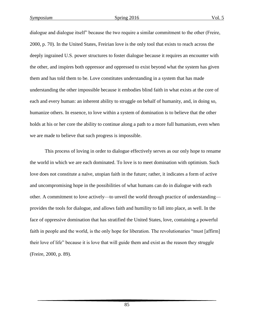dialogue and dialogue itself" because the two require a similar commitment to the other (Freire, 2000, p. 70). In the United States, Freirian love is the only tool that exists to reach across the deeply ingrained U.S. power structures to foster dialogue because it requires an encounter with the other, and inspires both oppressor and oppressed to exist beyond what the system has given them and has told them to be. Love constitutes understanding in a system that has made understanding the other impossible because it embodies blind faith in what exists at the core of each and every human: an inherent ability to struggle on behalf of humanity, and, in doing so, humanize others. In essence, to love within a system of domination is to believe that the other holds at his or her core the ability to continue along a path to a more full humanism, even when we are made to believe that such progress is impossible.

This process of loving in order to dialogue effectively serves as our only hope to rename the world in which we are each dominated. To love is to meet domination with optimism. Such love does not constitute a naïve, utopian faith in the future; rather, it indicates a form of active and uncompromising hope in the possibilities of what humans can do in dialogue with each other. A commitment to love actively—to unveil the world through practice of understanding provides the tools for dialogue, and allows faith and humility to fall into place, as well. In the face of oppressive domination that has stratified the United States, love, containing a powerful faith in people and the world, is the only hope for liberation. The revolutionaries "must [affirm] their love of life" because it is love that will guide them and exist as the reason they struggle (Freire, 2000, p. 89).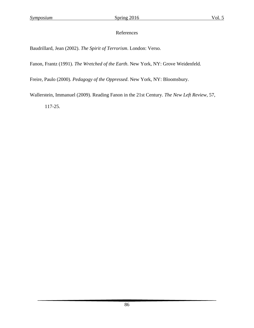#### References

Baudrillard, Jean (2002). *The Spirit of Terrorism*. London: Verso.

Fanon, Frantz (1991). *The Wretched of the Earth*. New York, NY: Grove Weidenfeld.

Freire, Paulo (2000). *Pedagogy of the Oppressed*. New York, NY: Bloomsbury.

Wallerstein, Immanuel (2009). Reading Fanon in the 21st Century. *The New Left Review,* 57,

117-25.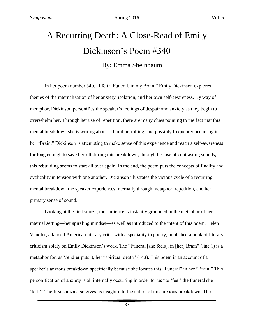# A Recurring Death: A Close-Read of Emily Dickinson's Poem #340

#### By: Emma Sheinbaum

In her poem number 340, "I felt a Funeral, in my Brain," Emily Dickinson explores themes of the internalization of her anxiety, isolation, and her own self-awareness. By way of metaphor, Dickinson personifies the speaker's feelings of despair and anxiety as they begin to overwhelm her. Through her use of repetition, there are many clues pointing to the fact that this mental breakdown she is writing about is familiar, tolling, and possibly frequently occurring in her "Brain." Dickinson is attempting to make sense of this experience and reach a self-awareness for long enough to save herself during this breakdown; through her use of contrasting sounds, this rebuilding seems to start all over again. In the end, the poem puts the concepts of finality and cyclicality in tension with one another. Dickinson illustrates the vicious cycle of a recurring mental breakdown the speaker experiences internally through metaphor, repetition, and her primary sense of sound.

Looking at the first stanza, the audience is instantly grounded in the metaphor of her internal setting—her spiraling mindset—as well as introduced to the intent of this poem. Helen Vendler, a lauded American literary critic with a speciality in poetry, published a book of literary criticism solely on Emily Dickinson's work. The "Funeral [she feels], in [her] Brain" (line 1) is a metaphor for, as Vendler puts it, her "spiritual death" (143). This poem is an account of a speaker's anxious breakdown specifically because she locates this "Funeral" in her "Brain." This personification of anxiety is all internally occurring in order for us "to 'feel' the Funeral she 'felt.'" The first stanza also gives us insight into the nature of this anxious breakdown. The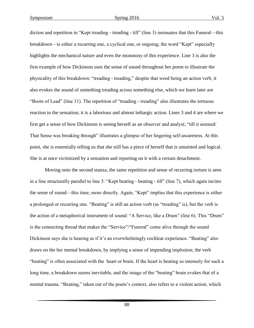diction and repetition in "Kept treading - treading - till" (line 3) insinuates that this Funeral—this breakdown—is either a recurring one, a cyclical one, or ongoing; the word "Kept" especially highlights the mechanical nature and even the monotony of this experience. Line 3 is also the first example of how Dickinson uses the sense of sound throughout her poem to illustrate the physicality of this breakdown: "treading - treading," despite that word being an action verb, it also evokes the sound of something treading across something else, which we learn later are "Boots of Lead" (line 11). The repetition of "treading - treading" also illustrates the tortuous reaction to the sensation; it is a laborious and almost lethargic action. Lines 3 and 4 are where we first get a sense of how Dickinson is seeing herself as an observer and analyst; "till it seemed/ That Sense was breaking through" illustrates a glimpse of her lingering self-awareness. At this point, she is essentially telling us that she still has a piece of herself that is untainted and logical. She is at once victimized by a sensation and reporting on it with a certain detachment.

Moving onto the second stanza, the same repetition and sense of recurring torture is seen in a line structurally parallel to line 3: "Kept beating - beating - till" (line 7), which again incites the sense of sound—this time, more directly. Again, "Kept" implies that this experience is either a prolonged or recurring one. "Beating" is still an action verb (as "treading" is), but the verb is the action of a metaphorical instrument of sound: "A Service, like a Drum" (line 6). This "Drum" is the connecting thread that makes the "Service"/"Funeral" come alive through the sound Dickinson says she is hearing as if it's an overwhelmingly cochlear experience. "Beating" also draws on the her mental breakdown, by implying a sense of impending implosion; the verb "beating" is often associated with the heart or brain. If the heart is beating so intensely for such a long time, a breakdown seems inevitable, and the image of the "beating" brain evokes that of a mental trauma. "Beating," taken out of the poem's context, also refers to a violent action, which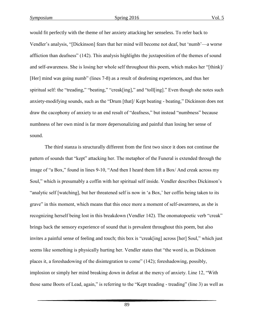would fit perfectly with the theme of her anxiety attacking her senseless. To refer back to Vendler's analysis, "[Dickinson] fears that her mind will become not deaf, but 'numb'—a worse affliction than deafness" (142). This analysis highlights the juxtaposition of the themes of sound and self-awareness. She is losing her whole self throughout this poem, which makes her "[think]/ [Her] mind was going numb" (lines 7-8) as a result of deafening experiences, and thus her spiritual self: the "treading," "beating," "creak[ing]," and "toll[ing]." Even though she notes such anxiety-modifying sounds, such as the "Drum [that]/ Kept beating - beating," Dickinson does not draw the cacophony of anxiety to an end result of "deafness," but instead "numbness" because numbness of her own mind is far more depersonalizing and painful than losing her sense of sound.

The third stanza is structurally different from the first two since it does not continue the pattern of sounds that "kept" attacking her. The metaphor of the Funeral is extended through the image of "a Box," found in lines 9-10, "And then I heard them lift a Box/ And creak across my Soul," which is presumably a coffin with her spiritual self inside. Vendler describes Dickinson's "analytic self [watching], but her threatened self is now in 'a Box,' her coffin being taken to its grave" in this moment, which means that this once more a moment of self-awareness, as she is recognizing herself being lost in this breakdown (Vendler 142). The onomatopoetic verb "creak" brings back the sensory experience of sound that is prevalent throughout this poem, but also invites a painful sense of feeling and touch; this box is "creak[ing] across [her] Soul," which just seems like something is physically hurting her. Vendler states that "the word is, as Dickinson places it, a foreshadowing of the disintegration to come" (142); foreshadowing, possibly, implosion or simply her mind breaking down in defeat at the mercy of anxiety. Line 12, "With those same Boots of Lead, again," is referring to the "Kept treading - treading" (line 3) as well as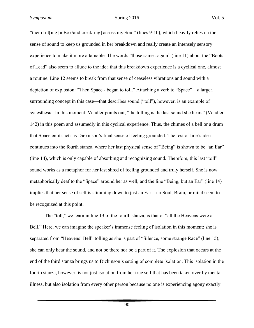"them lift[ing] a Box/and creak[ing] across my Soul" (lines 9-10), which heavily relies on the sense of sound to keep us grounded in her breakdown and really create an intensely sensory experience to make it more attainable. The words "those same...again" (line 11) about the "Boots of Lead" also seem to allude to the idea that this breakdown experience is a cyclical one, almost a routine. Line 12 seems to break from that sense of ceaseless vibrations and sound with a depiction of explosion: "Then Space - began to toll." Attaching a verb to "Space"—a larger, surrounding concept in this case—that describes sound ("toll"), however, is an example of synesthesia. In this moment, Vendler points out, "the tolling is the last sound she hears" (Vendler 142) in this poem and assumedly in this cyclical experience. Thus, the chimes of a bell or a drum that Space emits acts as Dickinson's final sense of feeling grounded. The rest of line's idea continues into the fourth stanza, where her last physical sense of "Being" is shown to be "an Ear" (line 14), which is only capable of absorbing and recognizing sound. Therefore, this last "toll" sound works as a metaphor for her last shred of feeling grounded and truly herself. She is now metaphorically deaf to the "Space" around her as well, and the line "Being, but an Ear" (line 14) implies that her sense of self is slimming down to just an Ear—no Soul, Brain, or mind seem to be recognized at this point.

The "toll," we learn in line 13 of the fourth stanza, is that of "all the Heavens were a Bell." Here, we can imagine the speaker's immense feeling of isolation in this moment: she is separated from "Heavens' Bell" tolling as she is part of "Silence, some strange Race" (line 15); she can only hear the sound, and not be there nor be a part of it. The explosion that occurs at the end of the third stanza brings us to Dickinson's setting of complete isolation. This isolation in the fourth stanza, however, is not just isolation from her true self that has been taken over by mental illness, but also isolation from every other person because no one is experiencing agony exactly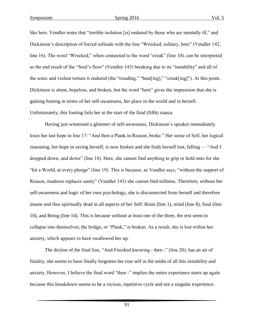like hers. Vendler notes that "terrible isolation [is] endured by those who are mentally ill," and Dickinson's description of forced solitude with the line "Wrecked, solitary, here" (Vendler 142, line 16). The word "Wrecked," when connected to the word "creak" (line 10), can be interpreted as the end result of the "Soul's floor" (Vendler 143) breaking due to its "instability" and all of the sonic and violent torture it endured (the "treading," "beat[ing]," "creak[ing]"). At this point, Dickinson is alone, hopeless, and broken, but the word "here" gives the impression that she is gaining footing in terms of her self-awareness, her place in the world and in herself. Unfortunately, this footing fails her at the start of the final (fifth) stanza.

Having just witnessed a glimmer of self-awareness, Dickinson's speaker immediately loses her last hope in line 17: "And then a Plank in Reason, broke." Her sense of Self, her logical reasoning, her hope in saving herself, is now broken and she finds herself lost, falling — "And I dropped down, and down" (line 18). Here, she cannot find anything to grip or hold onto for she "hit a World, at every plunge" (line 19). This is because, as Vendler says, "without the support of Reason, madness replaces sanity" (Vendler 143) she cannot find stillness. Therefore, without her self-awareness and logic of her own psychology, she is disconnected from herself and therefore insane and thus spiritually dead in all aspects of her Self: Brain (line 1), mind (line 8), Soul (line 10), and Being (line 14). This is because without at least one of the three, the rest seem to collapse into themselves; the bridge, or "Plank," is broken. As a result, she is lost within her anxiety, which appears to have swallowed her up.

The diction of the final line, "And Finished knowing - then -" (line 20), has an air of finality; she seems to have finally forgotten her true self in the midst of all this instability and anxiety. However, I believe the final word "then -" implies the entire experience starts up again because this breakdown seems to be a vicious, repetitive cycle and not a singular experience.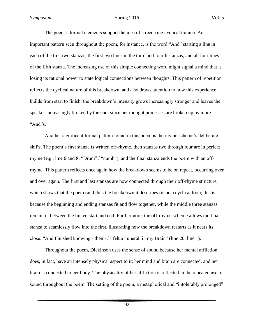The poem's formal elements support the idea of a recurring cyclical trauma. An important pattern seen throughout the poem, for instance, is the word "And" starting a line in each of the first two stanzas, the first two lines in the third and fourth stanzas, and all four lines of the fifth stanza. The increasing use of this simple connecting word might signal a mind that is losing its rational power to state logical connections between thoughts. This pattern of repetition reflects the cyclical nature of this breakdown, and also draws attention to how this experience builds from start to finish; the breakdown's intensity grows increasingly stronger and leaves the speaker increasingly broken by the end, since her thought processes are broken up by more "And"s.

Another significant formal pattern found in this poem is the rhyme scheme's deliberate shifts. The poem's first stanza is written off-rhyme, then stanzas two through four are in perfect rhyme (e.g., line 6 and 8: "Drum" / "numb"), and the final stanza ends the poem with an offrhyme. This pattern reflects once again how the breakdown seems to be on repeat, occurring over and over again. The first and last stanzas are now connected through their off-rhyme structure, which shows that the poem (and thus the breakdown it describes) is on a cyclical loop; this is because the beginning and ending stanzas fit and flow together, while the middle three stanzas remain in between the linked start and end. Furthermore, the off-rhyme scheme allows the final stanza to seamlessly flow into the first, illustrating how the breakdown restarts as it nears its close: "And Finished knowing - then - / I felt a Funeral, in my Brain" (line 20, line 1).

Throughout the poem, Dickinson uses the sense of sound because her mental affliction does, in fact, have an intensely physical aspect to it; her mind and brain are connected, and her brain is connected to her body. The physicality of her affliction is reflected in the repeated use of sound throughout the poem. The setting of the poem, a metaphorical and "intolerably prolonged"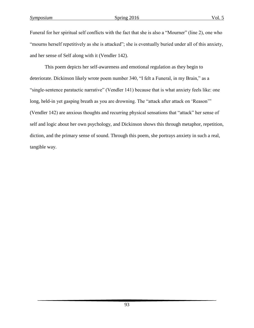Funeral for her spiritual self conflicts with the fact that she is also a "Mourner" (line 2), one who "mourns herself repetitively as she is attacked"; she is eventually buried under all of this anxiety, and her sense of Self along with it (Vendler 142).

This poem depicts her self-awareness and emotional regulation as they begin to deteriorate. Dickinson likely wrote poem number 340, "I felt a Funeral, in my Brain," as a "single-sentence paratactic narrative" (Vendler 141) because that is what anxiety feels like: one long, held-in yet gasping breath as you are drowning. The "attack after attack on 'Reason'" (Vendler 142) are anxious thoughts and recurring physical sensations that "attack" her sense of self and logic about her own psychology, and Dickinson shows this through metaphor, repetition, diction, and the primary sense of sound. Through this poem, she portrays anxiety in such a real, tangible way.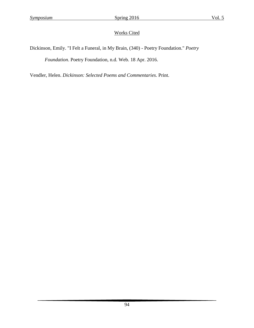Dickinson, Emily. "I Felt a Funeral, in My Brain, (340) - Poetry Foundation." *Poetry Foundation*. Poetry Foundation, n.d. Web. 18 Apr. 2016.

Vendler, Helen. *Dickinson: Selected Poems and Commentaries*. Print.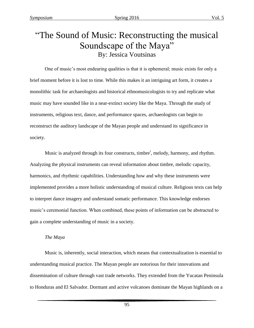## "The Sound of Music: Reconstructing the musical Soundscape of the Maya" By: Jessica Voutsinas

One of music's most endearing qualities is that it is ephemeral; music exists for only a brief moment before it is lost to time. While this makes it an intriguing art form, it creates a monolithic task for archaeologists and historical ethnomusicologists to try and replicate what music may have sounded like in a near-extinct society like the Maya. Through the study of instruments, religious text, dance, and performance spaces, archaeologists can begin to reconstruct the auditory landscape of the Mayan people and understand its significance in society.

Music is analyzed through its four constructs, timbre<sup>i</sup>, melody, harmony, and rhythm. Analyzing the physical instruments can reveal information about timbre, melodic capacity, harmonics, and rhythmic capabilities. Understanding how and why these instruments were implemented provides a more holistic understanding of musical culture. Religious texts can help to interpret dance imagery and understand somatic performance. This knowledge endorses music's ceremonial function. When combined, these points of information can be abstracted to gain a complete understanding of music in a society.

#### *The Maya*

Music is, inherently, social interaction, which means that contextualization is essential to understanding musical practice. The Mayan people are notorious for their innovations and dissemination of culture through vast trade networks. They extended from the Yucatan Peninsula to Honduras and El Salvador. Dormant and active volcanoes dominate the Mayan highlands on a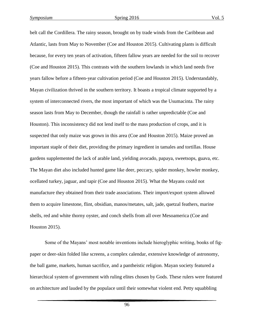belt call the Cordillera. The rainy season, brought on by trade winds from the Caribbean and Atlantic, lasts from May to November (Coe and Houston 2015). Cultivating plants is difficult because, for every ten years of activation, fifteen fallow years are needed for the soil to recover (Coe and Houston 2015). This contrasts with the southern lowlands in which land needs five years fallow before a fifteen-year cultivation period (Coe and Houston 2015). Understandably, Mayan civilization thrived in the southern territory. It boasts a tropical climate supported by a system of interconnected rivers, the most important of which was the Usumacinta. The rainy season lasts from May to December, though the rainfall is rather unpredictable (Coe and Houston). This inconsistency did not lend itself to the mass production of crops, and it is suspected that only maize was grown in this area (Coe and Houston 2015). Maize proved an important staple of their diet, providing the primary ingredient in tamales and tortillas. House gardens supplemented the lack of arable land, yielding avocado, papaya, sweetsops, guava, etc. The Mayan diet also included hunted game like deer, peccary, spider monkey, howler monkey, ocellated turkey, jaguar, and tapir (Coe and Houston 2015). What the Mayans could not manufacture they obtained from their trade associations. Their import/export system allowed them to acquire limestone, flint, obsidian, manos/metates, salt, jade, quetzal feathers, marine shells, red and white thorny oyster, and conch shells from all over Mesoamerica (Coe and Houston 2015).

Some of the Mayans' most notable inventions include hieroglyphic writing, books of figpaper or deer-skin folded like screens, a complex calendar, extensive knowledge of astronomy, the ball game, markets, human sacrifice, and a pantheistic religion. Mayan society featured a hierarchical system of government with ruling elites chosen by Gods. These rulers were featured on architecture and lauded by the populace until their somewhat violent end. Petty squabbling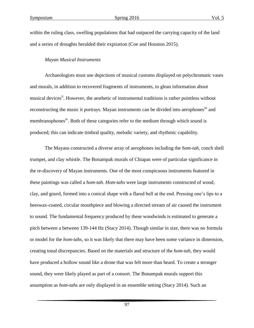within the ruling class, swelling populations that had outpaced the carrying capacity of the land and a series of droughts heralded their expiration (Coe and Houston 2015).

#### *Mayan Musical Instruments*

Archaeologists must use depictions of musical customs displayed on polychromatic vases and murals, in addition to recovered fragments of instruments, to glean information about musical devices<sup>ii</sup>. However, the aesthetic of instrumental traditions is rather pointless without reconstructing the music it portrays. Mayan instruments can be divided into aerophones<sup>iii</sup> and membranophones<sup>iv</sup>. Both of these categories refer to the medium through which sound is produced; this can indicate timbral quality, melodic variety, and rhythmic capability.

The Mayans constructed a diverse array of aerophones including the *hom-tah,* conch shell trumpet, and clay whistle. The Bonampak murals of Chiapas were of particular significance in the re-discovery of Mayan instruments. One of the most conspicuous instruments featured in these paintings was called a *hom-tah. Hom-tahs* were large instruments constructed of wood, clay, and gourd, formed into a conical shape with a flared bell at the end. Pressing one's lips to a beeswax-coated, circular mouthpiece and blowing a directed stream of air caused the instrument to sound. The fundamental frequency produced by these woodwinds is estimated to generate a pitch between a between 139-144 Hz (Stacy 2014). Though similar in size, there was no formula or model for the *hom-tahs,* so it was likely that there may have been some variance in dimension, creating tonal discrepancies. Based on the materials and structure of the *hom-tah,* they would have produced a hollow sound like a drone that was felt more than heard. To create a stronger sound, they were likely played as part of a consort. The Bonampak murals support this assumption as *hom-tahs* are only displayed in an ensemble setting (Stacy 2014). Such an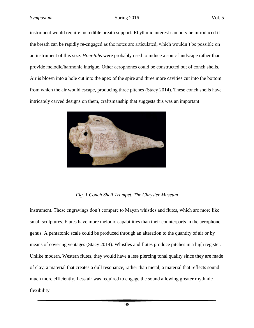instrument would require incredible breath support. Rhythmic interest can only be introduced if the breath can be rapidly re-engaged as the notes are articulated, which wouldn't be possible on an instrument of this size. *Hom-tahs* were probably used to induce a sonic landscape rather than provide melodic/harmonic intrigue. Other aerophones could be constructed out of conch shells. Air is blown into a hole cut into the apex of the spire and three more cavities cut into the bottom from which the air would escape, producing three pitches (Stacy 2014). These conch shells have intricately carved designs on them, craftsmanship that suggests this was an important



#### *Fig. 1 Conch Shell Trumpet, The Chrysler Museum*

instrument. These engravings don't compare to Mayan whistles and flutes, which are more like small sculptures. Flutes have more melodic capabilities than their counterparts in the aerophone genus. A pentatonic scale could be produced through an alteration to the quantity of air or by means of covering ventages (Stacy 2014). Whistles and flutes produce pitches in a high register. Unlike modern, Western flutes, they would have a less piercing tonal quality since they are made of clay, a material that creates a dull resonance, rather than metal, a material that reflects sound much more efficiently. Less air was required to engage the sound allowing greater rhythmic flexibility.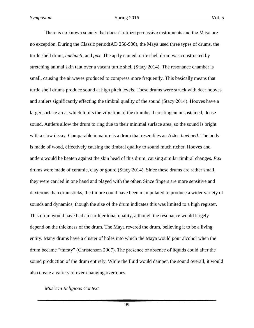There is no known society that doesn't utilize percussive instruments and the Maya are no exception. During the Classic period(AD 250-900), the Maya used three types of drums, the turtle shell drum, *huehuetl*, and *pax*. The aptly named turtle shell drum was constructed by stretching animal skin taut over a vacant turtle shell (Stacy 2014). The resonance chamber is small, causing the airwaves produced to compress more frequently. This basically means that turtle shell drums produce sound at high pitch levels. These drums were struck with deer hooves and antlers significantly effecting the timbral quality of the sound (Stacy 2014). Hooves have a larger surface area, which limits the vibration of the drumhead creating an unsustained, dense sound. Antlers allow the drum to ring due to their minimal surface area, so the sound is bright with a slow decay. Comparable in nature is a drum that resembles an Aztec *huehuetl*. The body is made of wood, effectively causing the timbral quality to sound much richer. Hooves and antlers would be beaten against the skin head of this drum, causing similar timbral changes. *Pax* drums were made of ceramic, clay or gourd (Stacy 2014). Since these drums are rather small, they were carried in one hand and played with the other. Since fingers are more sensitive and dexterous than drumsticks, the timbre could have been manipulated to produce a wider variety of sounds and dynamics, though the size of the drum indicates this was limited to a high register. This drum would have had an earthier tonal quality, although the resonance would largely depend on the thickness of the drum. The Maya revered the drum, believing it to be a living entity. Many drums have a cluster of holes into which the Maya would pour alcohol when the drum became "thirsty" (Christenson 2007). The presence or absence of liquids could alter the sound production of the drum entirely. While the fluid would dampen the sound overall, it would also create a variety of ever-changing overtones.

#### *Music in Religious Context*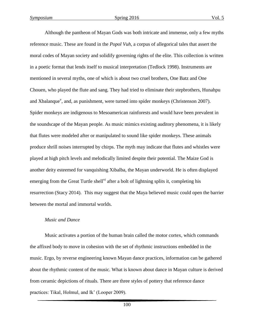Although the pantheon of Mayan Gods was both intricate and immense, only a few myths reference music. These are found in the *Popol Vuh*, a corpus of allegorical tales that assert the moral codes of Mayan society and solidify governing rights of the elite. This collection is written in a poetic format that lends itself to musical interpretation (Tedlock 1998). Instruments are mentioned in several myths, one of which is about two cruel brothers, One Batz and One Chouen, who played the flute and sang. They had tried to eliminate their stepbrothers, Hunahpu and Xbalanque<sup>v</sup>, and, as punishment, were turned into spider monkeys (Christenson 2007). Spider monkeys are indigenous to Mesoamerican rainforests and would have been prevalent in the soundscape of the Mayan people. As music mimics existing auditory phenomena, it is likely that flutes were modeled after or manipulated to sound like spider monkeys. These animals produce shrill noises interrupted by chirps. The myth may indicate that flutes and whistles were played at high pitch levels and melodically limited despite their potential. The Maize God is another deity esteemed for vanquishing Xibalba, the Mayan underworld. He is often displayed emerging from the Great Turtle shell<sup>vi</sup> after a bolt of lightning splits it, completing his resurrection (Stacy 2014). This may suggest that the Maya believed music could open the barrier between the mortal and immortal worlds.

#### *Music and Dance*

Music activates a portion of the human brain called the motor cortex, which commands the affixed body to move in cohesion with the set of rhythmic instructions embedded in the music. Ergo, by reverse engineering known Mayan dance practices, information can be gathered about the rhythmic content of the music. What is known about dance in Mayan culture is derived from ceramic depictions of rituals. There are three styles of pottery that reference dance practices: Tikal, Holmul, and Ik' (Looper 2009).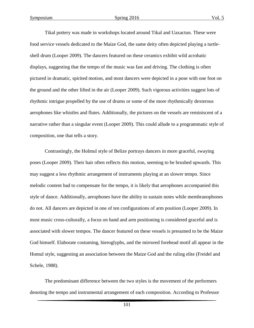Tikal pottery was made in workshops located around Tikal and Uaxactun. These were food service vessels dedicated to the Maize God, the same deity often depicted playing a turtleshell drum (Looper 2009). The dancers featured on these ceramics exhibit wild acrobatic displays, suggesting that the tempo of the music was fast and driving. The clothing is often pictured in dramatic, spirited motion, and most dancers were depicted in a pose with one foot on the ground and the other lifted in the air (Looper 2009). Such vigorous activities suggest lots of rhythmic intrigue propelled by the use of drums or some of the more rhythmically dexterous aerophones like whistles and flutes. Additionally, the pictures on the vessels are reminiscent of a narrative rather than a singular event (Looper 2009). This could allude to a programmatic style of composition, one that tells a story.

Contrastingly, the Holmul style of Belize portrays dancers in more graceful, swaying poses (Looper 2009). Their hair often reflects this motion, seeming to be brushed upwards. This may suggest a less rhythmic arrangement of instruments playing at an slower tempo. Since melodic content had to compensate for the tempo, it is likely that aerophones accompanied this style of dance. Additionally, aerophones have the ability to sustain notes while membranophones do not. All dancers are depicted in one of ten configurations of arm position (Looper 2009). In most music cross-culturally, a focus on hand and arm positioning is considered graceful and is associated with slower tempos. The dancer featured on these vessels is presumed to be the Maize God himself. Elaborate costuming, hieroglyphs, and the mirrored forehead motif all appear in the Homul style, suggesting an association between the Maize God and the ruling elite (Freidel and Schele, 1988).

The predominant difference between the two styles is the movement of the performers denoting the tempo and instrumental arrangement of each composition. According to Professor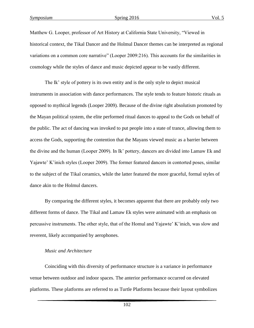Matthew G. Looper, professor of Art History at California State University, "Viewed in historical context, the Tikal Dancer and the Holmul Dancer themes can be interpreted as regional variations on a common core narrative" (Looper 2009:216). This accounts for the similarities in cosmology while the styles of dance and music depicted appear to be vastly different.

The Ik' style of pottery is its own entity and is the only style to depict musical instruments in association with dance performances. The style tends to feature historic rituals as opposed to mythical legends (Looper 2009). Because of the divine right absolutism promoted by the Mayan political system, the elite performed ritual dances to appeal to the Gods on behalf of the public. The act of dancing was invoked to put people into a state of trance, allowing them to access the Gods, supporting the contention that the Mayans viewed music as a barrier between the divine and the human (Looper 2009). In Ik' pottery, dancers are divided into Lamaw Ek and Yajawte' K'inich styles (Looper 2009). The former featured dancers in contorted poses, similar to the subject of the Tikal ceramics, while the latter featured the more graceful, formal styles of dance akin to the Holmul dancers.

By comparing the different styles, it becomes apparent that there are probably only two different forms of dance. The Tikal and Lamaw Ek styles were animated with an emphasis on percussive instruments. The other style, that of the Homul and Yajawte' K'inich, was slow and reverent, likely accompanied by aerophones.

#### *Music and Architecture*

Coinciding with this diversity of performance structure is a variance in performance venue between outdoor and indoor spaces. The anterior performance occurred on elevated platforms. These platforms are referred to as Turtle Platforms because their layout symbolizes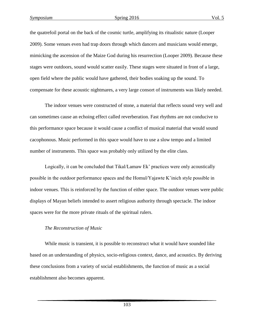the quatrefoil portal on the back of the cosmic turtle, amplifying its ritualistic nature (Looper 2009). Some venues even had trap doors through which dancers and musicians would emerge, mimicking the ascension of the Maize God during his resurrection (Looper 2009). Because these stages were outdoors, sound would scatter easily. These stages were situated in front of a large, open field where the public would have gathered, their bodies soaking up the sound. To compensate for these acoustic nightmares, a very large consort of instruments was likely needed.

The indoor venues were constructed of stone, a material that reflects sound very well and can sometimes cause an echoing effect called reverberation. Fast rhythms are not conducive to this performance space because it would cause a conflict of musical material that would sound cacophonous. Music performed in this space would have to use a slow tempo and a limited number of instruments. This space was probably only utilized by the elite class.

Logically, it can be concluded that Tikal/Lamaw Ek' practices were only acoustically possible in the outdoor performance spaces and the Homul/Yajawte K'inich style possible in indoor venues. This is reinforced by the function of either space. The outdoor venues were public displays of Mayan beliefs intended to assert religious authority through spectacle. The indoor spaces were for the more private rituals of the spiritual rulers.

#### *The Reconstruction of Music*

While music is transient, it is possible to reconstruct what it would have sounded like based on an understanding of physics, socio-religious context, dance, and acoustics. By deriving these conclusions from a variety of social establishments, the function of music as a social establishment also becomes apparent.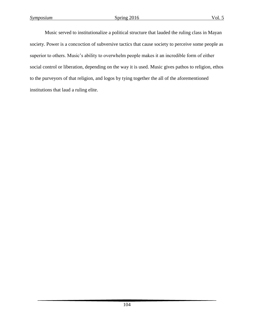Music served to institutionalize a political structure that lauded the ruling class in Mayan society. Power is a concoction of subversive tactics that cause society to perceive some people as superior to others. Music's ability to overwhelm people makes it an incredible form of either social control or liberation, depending on the way it is used. Music gives pathos to religion, ethos to the purveyors of that religion, and logos by tying together the all of the aforementioned institutions that laud a ruling elite.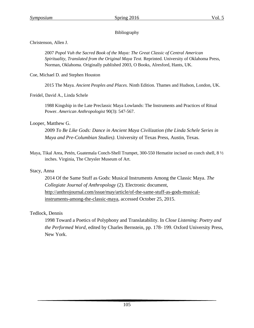#### Bibliography

Christenson, Allen J.

2007 *Popol Vuh the Sacred Book of the Maya: The Great Classic of Central American Spirituality, Translated from the Original Maya Text.* Reprinted. University of Oklahoma Press, Norman, Oklahoma. Originally published 2003, O Books, Alresford, Hants, UK.

Coe, Michael D. and Stephen Houston

2015 The Maya*. Ancient Peoples and Places.* Ninth Edition. Thames and Hudson, London, UK.

Freidel, David A., Linda Schele

1988 Kingship in the Late Preclassic Maya Lowlands: The Instruments and Practices of Ritual Power. *American Anthropologist* 90(3): 547-567.

#### Looper, Matthew G.

2009 *To Be Like Gods: Dance in Ancient Maya Civilization (the Linda Schele Series in Maya and Pre-Columbian Studies)*. University of Texas Press, Austin, Texas.

Maya, Tikal Area, Petén, Guatemala Conch-Shell Trumpet, 300-550 Hematite incised on conch shell, 8 ½ inches. Virginia, The Chrysler Museum of Art.

#### Stacy, Anna

2014 Of the Same Stuff as Gods: Musical Instruments Among the Classic Maya. *The Collegiate Journal of Anthropology* (2). Electronic document, [http://anthrojournal.com/issue/may/article/of-the-same-stuff-as-gods-musical](http://anthrojournal.com/issue/may/article/of-the-same-stuff-as-gods-musical-instruments-among-the-classic-maya)[instruments-among-the-classic-maya,](http://anthrojournal.com/issue/may/article/of-the-same-stuff-as-gods-musical-instruments-among-the-classic-maya) accessed October 25, 2015.

#### Tedlock, Dennis

1998 Toward a Poetics of Polyphony and Translatability. In *Close Listening: Poetry and the Performed Word,* edited by Charles Bernstein, pp. 178- 199. Oxford University Press, New York.